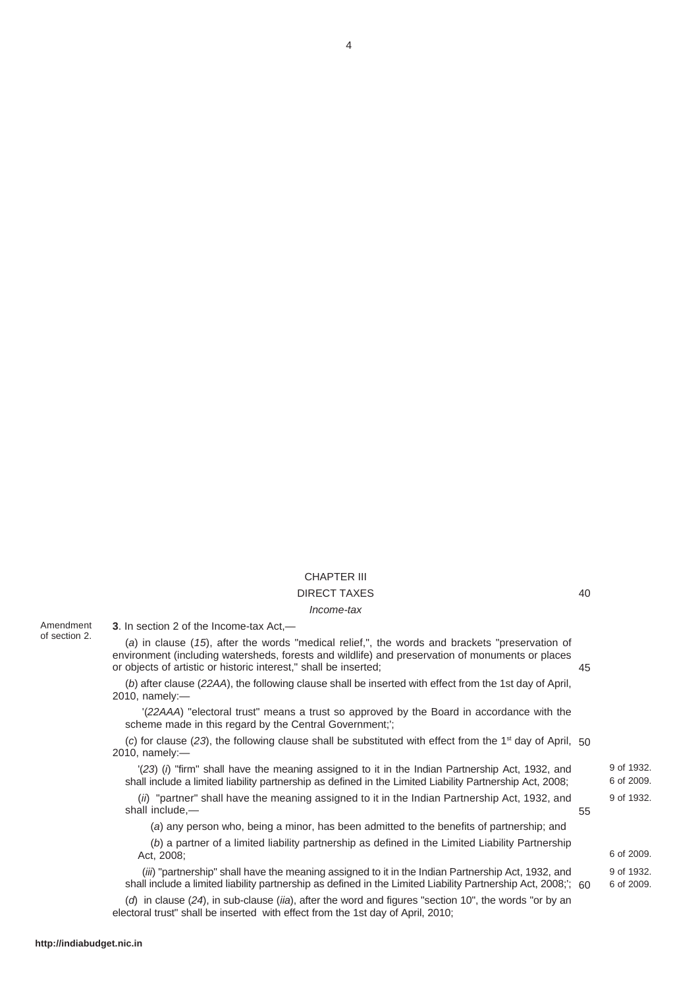## CHAPTER III

## DIRECT TAXES

## *Income-tax*

electoral trust" shall be inserted with effect from the 1st day of April, 2010;

(*a*) in clause (*15*), after the words "medical relief,", the words and brackets "preservation of environment (including watersheds, forests and wildlife) and preservation of monuments or places or objects of artistic or historic interest," shall be inserted; (*b*) after clause (*22AA*), the following clause shall be inserted with effect from the 1st day of April, 2010, namely:— '(*22AAA*) "electoral trust" means a trust so approved by the Board in accordance with the scheme made in this regard by the Central Government;'; (c) for clause (23), the following clause shall be substituted with effect from the 1<sup>st</sup> day of April, 50 2010, namely:— '(*23*) (*i*) "firm" shall have the meaning assigned to it in the Indian Partnership Act, 1932, and shall include a limited liability partnership as defined in the Limited Liability Partnership Act, 2008; (*ii*) "partner" shall have the meaning assigned to it in the Indian Partnership Act, 1932, and shall include,— (*a*) any person who, being a minor, has been admitted to the benefits of partnership; and (*b*) a partner of a limited liability partnership as defined in the Limited Liability Partnership Act, 2008; (*iii*) "partnership" shall have the meaning assigned to it in the Indian Partnership Act, 1932, and shall include a limited liability partnership as defined in the Limited Liability Partnership Act, 2008;'; 60(*d*) in clause (*24*), in sub-clause (*iia*), after the word and figures "section 10", the words "or by an 9 of 1932. 6 of 2009. 9 of 1932. 6 of 2009. 9 of 1932. 6 of 2009. 45 55

Amendment of section 2.

**3**. In section 2 of the Income-tax Act,—

40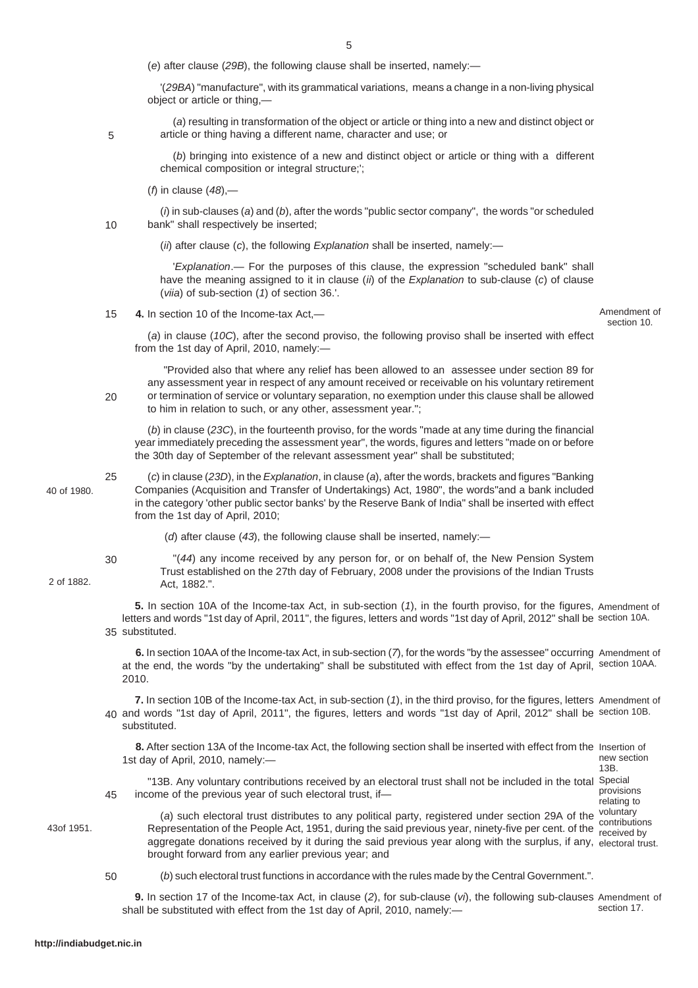(*e*) after clause (*29B*), the following clause shall be inserted, namely:—

'(*29BA*) "manufacture", with its grammatical variations, means a change in a non-living physical object or article or thing,—

(*a*) resulting in transformation of the object or article or thing into a new and distinct object or article or thing having a different name, character and use; or

(*b*) bringing into existence of a new and distinct object or article or thing with a different chemical composition or integral structure;';

(*f*) in clause (*48*),—

(*i*) in sub-clauses (*a*) and (*b*), after the words "public sector company", the words "or scheduled bank" shall respectively be inserted; 10

(*ii*) after clause (*c*), the following *Explanation* shall be inserted, namely:—

'*Explanation*.— For the purposes of this clause, the expression "scheduled bank" shall have the meaning assigned to it in clause (*ii*) of the *Explanation* to sub-clause (*c*) of clause (*viia*) of sub-section (*1*) of section 36.'.

**4.** In section 10 of the Income-tax Act,— 15

Amendment of section 10.

(*a*) in clause (*10C*), after the second proviso, the following proviso shall be inserted with effect from the 1st day of April, 2010, namely:—

 "Provided also that where any relief has been allowed to an assessee under section 89 for any assessment year in respect of any amount received or receivable on his voluntary retirement or termination of service or voluntary separation, no exemption under this clause shall be allowed to him in relation to such, or any other, assessment year."; 20

(*b*) in clause (*23C*), in the fourteenth proviso, for the words "made at any time during the financial year immediately preceding the assessment year", the words, figures and letters "made on or before the 30th day of September of the relevant assessment year" shall be substituted;

(*c*) in clause (*23D*), in the *Explanation*, in clause (*a*), after the words, brackets and figures "Banking Companies (Acquisition and Transfer of Undertakings) Act, 1980", the words"and a bank included in the category 'other public sector banks' by the Reserve Bank of India" shall be inserted with effect from the 1st day of April, 2010; 25

(*d*) after clause (*43*), the following clause shall be inserted, namely:—

30

5

"(*44*) any income received by any person for, or on behalf of, the New Pension System Trust established on the 27th day of February, 2008 under the provisions of the Indian Trusts Act, 1882.".

**5.** In section 10A of the Income-tax Act, in sub-section (*1*), in the fourth proviso, for the figures, Amendment of letters and words "1st day of April, 2011", the figures, letters and words "1st day of April, 2012" shall be section 10A. 35 substituted.

**6.** In section 10AA of the Income-tax Act, in sub-section (*7*), for the words "by the assessee" occurring Amendment of at the end, the words "by the undertaking" shall be substituted with effect from the 1st day of April, section 10AA. 2010.

**7.** In section 10B of the Income-tax Act, in sub-section (*1*), in the third proviso, for the figures, letters Amendment of and words "1st day of April, 2011", the figures, letters and words "1st day of April, 2012" shall be section 10B. 40 substituted.

8. After section 13A of the Income-tax Act, the following section shall be inserted with effect from the Insertion of 1st day of April, 2010, namely: new section 13B.

"13B. Any voluntary contributions received by an electoral trust shall not be included in the total Special income of the previous year of such electoral trust, if provisions relating to 45

43of 1951.

(*a*) such electoral trust distributes to any political party, registered under section 29A of the Representation of the People Act, 1951, during the said previous year, ninety-five per cent. of the aggregate donations received by it during the said previous year along with the surplus, if any, electoral trust. brought forward from any earlier previous year; and voluntary contributions received by

(*b*) such electoral trust functions in accordance with the rules made by the Central Government.". 50

**9.** In section 17 of the Income-tax Act, in clause (*2*), for sub-clause (*vi*), the following sub-clauses Amendment of shall be substituted with effect from the 1st day of April, 2010, namely: section 17.

40 of 1980.

2 of 1882.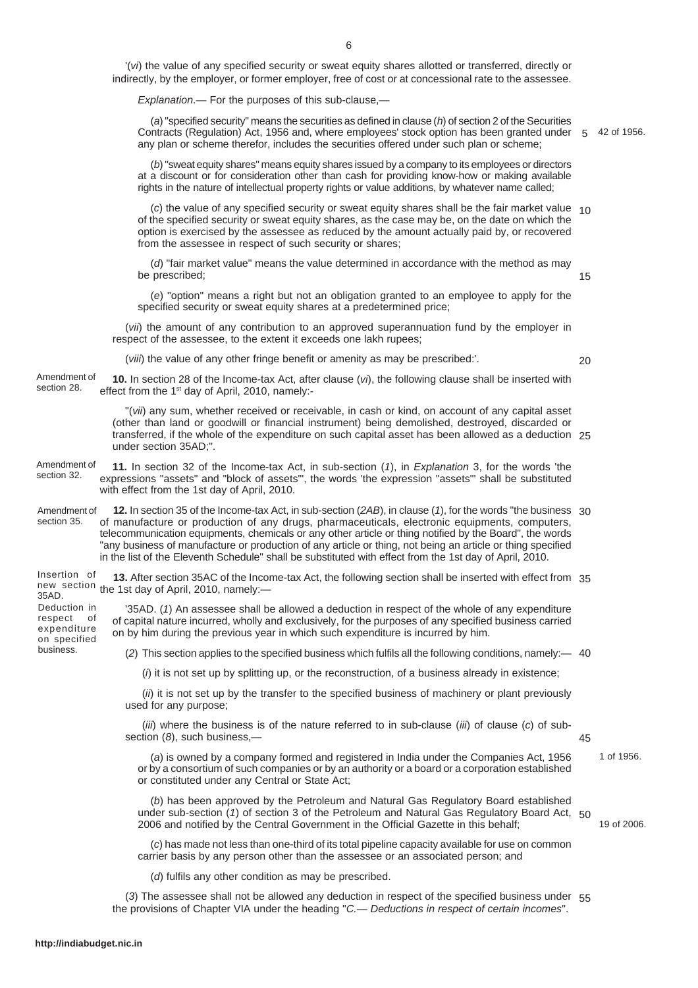'(*vi*) the value of any specified security or sweat equity shares allotted or transferred, directly or indirectly, by the employer, or former employer, free of cost or at concessional rate to the assessee.

*Explanation*.— For the purposes of this sub-clause,—

(*a*) "specified security" means the securities as defined in clause (*h*) of section 2 of the Securities Contracts (Regulation) Act, 1956 and, where employees' stock option has been granted under 5 42 of 1956. any plan or scheme therefor, includes the securities offered under such plan or scheme;

(*b*) "sweat equity shares" means equity shares issued by a company to its employees or directors at a discount or for consideration other than cash for providing know-how or making available rights in the nature of intellectual property rights or value additions, by whatever name called;

(*c*) the value of any specified security or sweat equity shares shall be the fair market value 10 of the specified security or sweat equity shares, as the case may be, on the date on which the option is exercised by the assessee as reduced by the amount actually paid by, or recovered from the assessee in respect of such security or shares;

(*d*) "fair market value" means the value determined in accordance with the method as may be prescribed;

(*e*) "option" means a right but not an obligation granted to an employee to apply for the specified security or sweat equity shares at a predetermined price;

(*vii*) the amount of any contribution to an approved superannuation fund by the employer in respect of the assessee, to the extent it exceeds one lakh rupees;

(*viii*) the value of any other fringe benefit or amenity as may be prescribed:'.

20

15

**10.** In section 28 of the Income-tax Act, after clause (*vi*), the following clause shall be inserted with effect from the 1<sup>st</sup> day of April, 2010, namely:-Amendment of section 28.

> "(*vii*) any sum, whether received or receivable, in cash or kind, on account of any capital asset (other than land or goodwill or financial instrument) being demolished, destroyed, discarded or transferred, if the whole of the expenditure on such capital asset has been allowed as a deduction 25 under section 35AD;".

**11.** In section 32 of the Income-tax Act, in sub-section (*1*), in *Explanation* 3, for the words 'the expressions "assets" and "block of assets"', the words 'the expression "assets"' shall be substituted with effect from the 1st day of April, 2010. Amendment of section 32.

**12.** In section 35 of the Income-tax Act, in sub-section (*2AB*), in clause (*1*), for the words "the business 30 of manufacture or production of any drugs, pharmaceuticals, electronic equipments, computers, telecommunication equipments, chemicals or any other article or thing notified by the Board", the words "any business of manufacture or production of any article or thing, not being an article or thing specified in the list of the Eleventh Schedule" shall be substituted with effect from the 1st day of April, 2010. Amendment of section 35.

**13.** After section 35AC of the Income-tax Act, the following section shall be inserted with effect from 35 new section the 1st day of April, 2010, namely:— Insertion of

35AD. Deduction in respect of expenditure

on specified business.

'35AD. (*1*) An assessee shall be allowed a deduction in respect of the whole of any expenditure of capital nature incurred, wholly and exclusively, for the purposes of any specified business carried on by him during the previous year in which such expenditure is incurred by him.

(*2*) This section applies to the specified business which fulfils all the following conditions, namely:— 40

(*i*) it is not set up by splitting up, or the reconstruction, of a business already in existence;

(*ii*) it is not set up by the transfer to the specified business of machinery or plant previously used for any purpose;

(*iii*) where the business is of the nature referred to in sub-clause (*iii*) of clause (*c*) of subsection (*8*), such business,—

(*a*) is owned by a company formed and registered in India under the Companies Act, 1956 or by a consortium of such companies or by an authority or a board or a corporation established or constituted under any Central or State Act;

(*b*) has been approved by the Petroleum and Natural Gas Regulatory Board established under sub-section (*1*) of section 3 of the Petroleum and Natural Gas Regulatory Board Act, 50 2006 and notified by the Central Government in the Official Gazette in this behalf;

(*c*) has made not less than one-third of its total pipeline capacity available for use on common carrier basis by any person other than the assessee or an associated person; and

(*d*) fulfils any other condition as may be prescribed.

(*3*) The assessee shall not be allowed any deduction in respect of the specified business under 55the provisions of Chapter VIA under the heading "*C.— Deductions in respect of certain incomes*".

1 of 1956.

45

19 of 2006.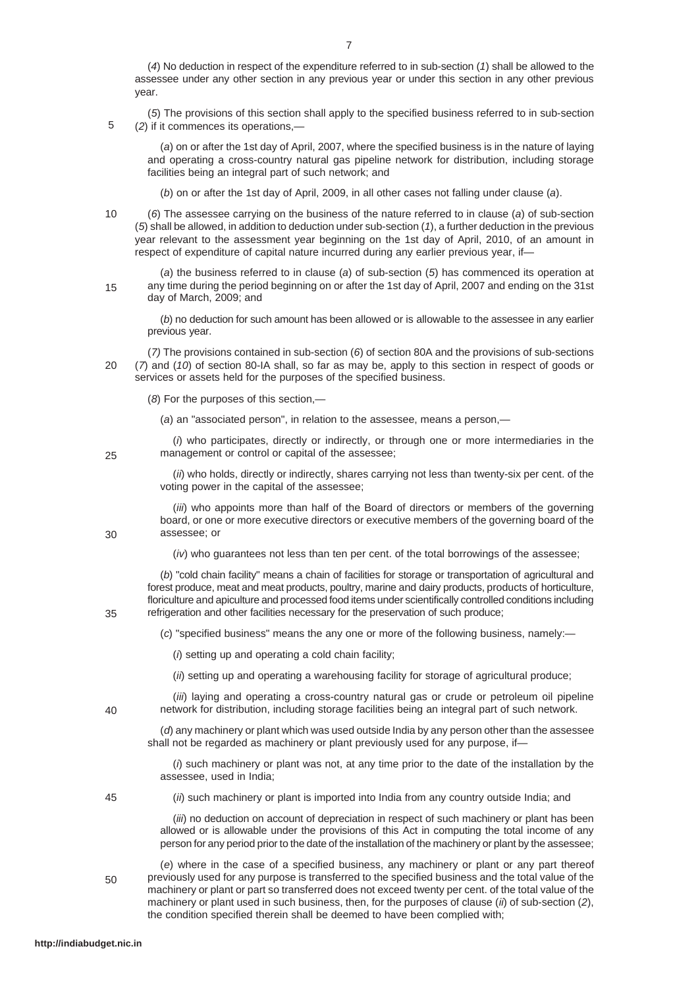(*4*) No deduction in respect of the expenditure referred to in sub-section (*1*) shall be allowed to the assessee under any other section in any previous year or under this section in any other previous year.

(*5*) The provisions of this section shall apply to the specified business referred to in sub-section (*2*) if it commences its operations,— 5

(*a*) on or after the 1st day of April, 2007, where the specified business is in the nature of laying and operating a cross-country natural gas pipeline network for distribution, including storage facilities being an integral part of such network; and

(*b*) on or after the 1st day of April, 2009, in all other cases not falling under clause (*a*).

(*6*) The assessee carrying on the business of the nature referred to in clause (*a*) of sub-section (*5*) shall be allowed, in addition to deduction under sub-section (*1*), a further deduction in the previous year relevant to the assessment year beginning on the 1st day of April, 2010, of an amount in respect of expenditure of capital nature incurred during any earlier previous year, if— 10

(*a*) the business referred to in clause (*a*) of sub-section (*5*) has commenced its operation at any time during the period beginning on or after the 1st day of April, 2007 and ending on the 31st day of March, 2009; and 15

(*b*) no deduction for such amount has been allowed or is allowable to the assessee in any earlier previous year.

(*7)* The provisions contained in sub-section (*6*) of section 80A and the provisions of sub-sections (*7*) and (*10*) of section 80-IA shall, so far as may be, apply to this section in respect of goods or services or assets held for the purposes of the specified business. 20

(*8*) For the purposes of this section,—

(*a*) an "associated person", in relation to the assessee, means a person,—

(*i*) who participates, directly or indirectly, or through one or more intermediaries in the management or control or capital of the assessee;

(*ii*) who holds, directly or indirectly, shares carrying not less than twenty-six per cent. of the voting power in the capital of the assessee;

(*iii*) who appoints more than half of the Board of directors or members of the governing board, or one or more executive directors or executive members of the governing board of the assessee; or

(*iv*) who guarantees not less than ten per cent. of the total borrowings of the assessee;

(*b*) "cold chain facility" means a chain of facilities for storage or transportation of agricultural and forest produce, meat and meat products, poultry, marine and dairy products, products of horticulture, floriculture and apiculture and processed food items under scientifically controlled conditions including refrigeration and other facilities necessary for the preservation of such produce;

(*c*) "specified business" means the any one or more of the following business, namely:—

(*i*) setting up and operating a cold chain facility;

(*ii*) setting up and operating a warehousing facility for storage of agricultural produce;

(*iii*) laying and operating a cross-country natural gas or crude or petroleum oil pipeline network for distribution, including storage facilities being an integral part of such network.

(*d*) any machinery or plant which was used outside India by any person other than the assessee shall not be regarded as machinery or plant previously used for any purpose, if-

(*i*) such machinery or plant was not, at any time prior to the date of the installation by the assessee, used in India;

45

25

30

35

40

(*ii*) such machinery or plant is imported into India from any country outside India; and

(*iii*) no deduction on account of depreciation in respect of such machinery or plant has been allowed or is allowable under the provisions of this Act in computing the total income of any person for any period prior to the date of the installation of the machinery or plant by the assessee;

(*e*) where in the case of a specified business, any machinery or plant or any part thereof previously used for any purpose is transferred to the specified business and the total value of the machinery or plant or part so transferred does not exceed twenty per cent. of the total value of the machinery or plant used in such business, then, for the purposes of clause (*ii*) of sub-section (*2*), the condition specified therein shall be deemed to have been complied with; 50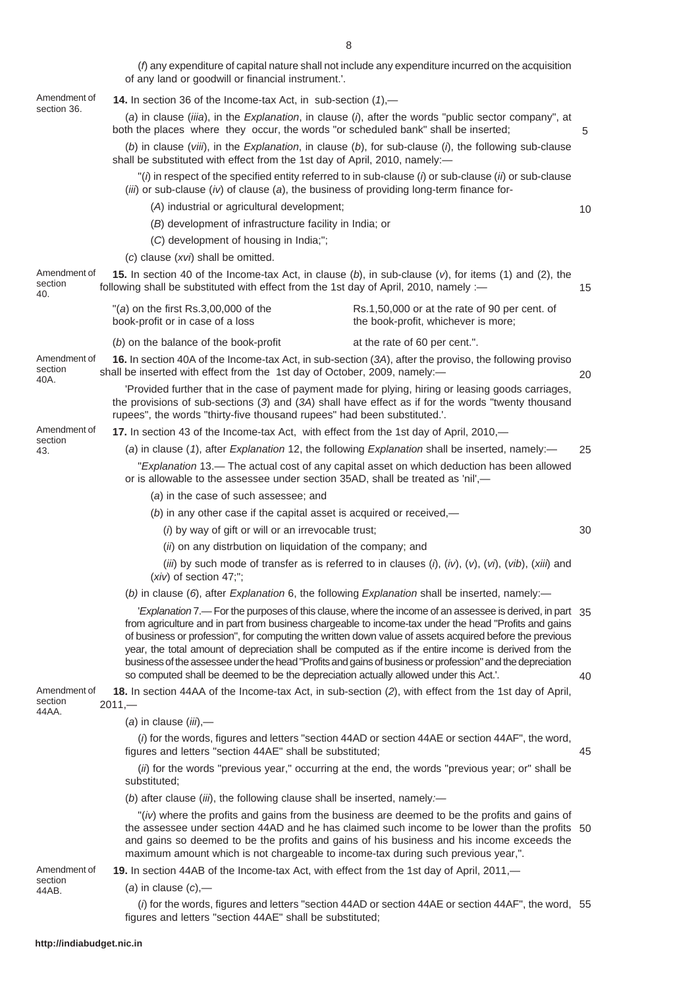**14.** In section 36 of the Income-tax Act, in sub-section (*1*),— (*a*) in clause (*iiia*), in the *Explanation*, in clause (*i*), after the words "public sector company", at both the places where they occur, the words "or scheduled bank" shall be inserted; (*b*) in clause (*viii*), in the *Explanation*, in clause (*b*), for sub-clause (*i*), the following sub-clause shall be substituted with effect from the 1st day of April, 2010, namely:— "(*i*) in respect of the specified entity referred to in sub-clause (*i*) or sub-clause (*ii*) or sub-clause (*iii*) or sub-clause (*iv*) of clause (*a*), the business of providing long-term finance for- (*A*) industrial or agricultural development; (*B*) development of infrastructure facility in India; or (*C*) development of housing in India;"; (*c*) clause (*xvi*) shall be omitted. **15.** In section 40 of the Income-tax Act, in clause  $(b)$ , in sub-clause  $(v)$ , for items  $(1)$  and  $(2)$ , the following shall be substituted with effect from the 1st day of April, 2010, namely :- $\Gamma$ (a) on the first Rs.3,00,000 of the Rs.1,50,000 or at the rate of 90 per cent. of book-profit or in case of a loss the book-profit, whichever is more; (b) on the balance of the book-profit at the rate of 60 per cent.". **16.** In section 40A of the Income-tax Act, in sub-section (*3A*), after the proviso, the following proviso shall be inserted with effect from the 1st day of October, 2009, namely:-'Provided further that in the case of payment made for plying, hiring or leasing goods carriages, the provisions of sub-sections (*3*) and (*3A*) shall have effect as if for the words "twenty thousand rupees", the words "thirty-five thousand rupees" had been substituted.'. **17.** In section 43 of the Income-tax Act, with effect from the 1st day of April, 2010,— (*a*) in clause (*1*), after *Explanation* 12, the following *Explanation* shall be inserted, namely:— "*Explanation* 13.— The actual cost of any capital asset on which deduction has been allowed or is allowable to the assessee under section 35AD, shall be treated as 'nil',— (*a*) in the case of such assessee; and (*b*) in any other case if the capital asset is acquired or received,— (*i*) by way of gift or will or an irrevocable trust; (*ii*) on any distrbution on liquidation of the company; and (*iii*) by such mode of transfer as is referred to in clauses (*i*), (*iv*), (*v*), (*vi*), (*vib*), (*xiii*) and (*xiv*) of section 47;"; (*b)* in clause (*6*), after *Explanation* 6, the following *Explanation* shall be inserted, namely:— '*Explanation* 7.— For the purposes of this clause, where the income of an assessee is derived, in part 35 from agriculture and in part from business chargeable to income-tax under the head "Profits and gains of business or profession", for computing the written down value of assets acquired before the previous year, the total amount of depreciation shall be computed as if the entire income is derived from the business of the assessee under the head "Profits and gains of business or profession" and the depreciation so computed shall be deemed to be the depreciation actually allowed under this Act.'. **18.** In section 44AA of the Income-tax Act, in sub-section (*2*), with effect from the 1st day of April,  $2011 -$ (*a*) in clause (*iii*),— (*i*) for the words, figures and letters "section 44AD or section 44AE or section 44AF", the word, figures and letters "section 44AE" shall be substituted; (*ii*) for the words "previous year," occurring at the end, the words "previous year; or" shall be substituted; (*b*) after clause (*iii*), the following clause shall be inserted, namely*:—* "(*iv*) where the profits and gains from the business are deemed to be the profits and gains of the assessee under section 44AD and he has claimed such income to be lower than the profits 50 and gains so deemed to be the profits and gains of his business and his income exceeds the maximum amount which is not chargeable to income-tax during such previous year,". **19.** In section 44AB of the Income-tax Act, with effect from the 1st day of April, 2011,— (*a*) in clause (*c*),— Amendment of section 36. Amendment of section 40. Amendment of section 40A. Amendment of section 43. Amendment of section 44AA. Amendment of section 44AB. 5 10 15 20 25 30 40 45

of any land or goodwill or financial instrument.'.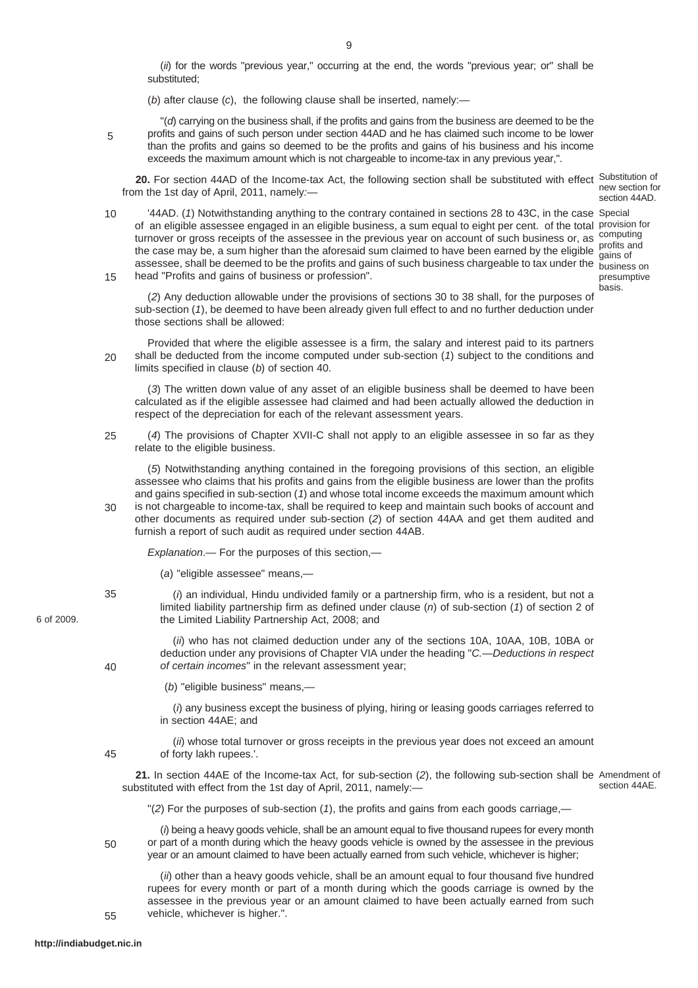(*ii*) for the words "previous year," occurring at the end, the words "previous year; or" shall be substituted;

(*b*) after clause (*c*), the following clause shall be inserted, namely:—

"(*d*) carrying on the business shall, if the profits and gains from the business are deemed to be the profits and gains of such person under section 44AD and he has claimed such income to be lower than the profits and gains so deemed to be the profits and gains of his business and his income exceeds the maximum amount which is not chargeable to income-tax in any previous year,".

20. For section 44AD of the Income-tax Act, the following section shall be substituted with effect Substitution of from the 1st day of April, 2011, namely*:* new section for section 44AD.

'44AD. (*1*) Notwithstanding anything to the contrary contained in sections 28 to 43C, in the case Special of an eligible assessee engaged in an eligible business, a sum equal to eight per cent. of the total provision for turnover or gross receipts of the assessee in the previous year on account of such business or, as computing the case may be, a sum higher than the aforesaid sum claimed to have been earned by the eligible cains of assessee, shall be deemed to be the profits and gains of such business chargeable to tax under the business on head "Profits and gains of business or profession". 10 15

gains of presumptive basis.

(*2*) Any deduction allowable under the provisions of sections 30 to 38 shall, for the purposes of sub-section (*1*), be deemed to have been already given full effect to and no further deduction under those sections shall be allowed:

Provided that where the eligible assessee is a firm, the salary and interest paid to its partners shall be deducted from the income computed under sub-section (*1*) subject to the conditions and limits specified in clause (*b*) of section 40.  $20$ 

(*3*) The written down value of any asset of an eligible business shall be deemed to have been calculated as if the eligible assessee had claimed and had been actually allowed the deduction in respect of the depreciation for each of the relevant assessment years.

(*4*) The provisions of Chapter XVII-C shall not apply to an eligible assessee in so far as they relate to the eligible business.  $25$ 

(*5*) Notwithstanding anything contained in the foregoing provisions of this section, an eligible assessee who claims that his profits and gains from the eligible business are lower than the profits and gains specified in sub-section (*1*) and whose total income exceeds the maximum amount which is not chargeable to income-tax, shall be required to keep and maintain such books of account and other documents as required under sub-section (*2*) of section 44AA and get them audited and furnish a report of such audit as required under section 44AB. 30

*Explanation*.— For the purposes of this section,—

(*a*) "eligible assessee" means,—

35

 $40$ 

45

5

6 of 2009.

(*i*) an individual, Hindu undivided family or a partnership firm, who is a resident, but not a limited liability partnership firm as defined under clause (*n*) of sub-section (*1*) of section 2 of the Limited Liability Partnership Act, 2008; and

(*ii*) who has not claimed deduction under any of the sections 10A, 10AA, 10B, 10BA or deduction under any provisions of Chapter VIA under the heading "*C.—Deductions in respect of certain incomes*" in the relevant assessment year;

(*b*) "eligible business" means,—

(*i*) any business except the business of plying, hiring or leasing goods carriages referred to in section 44AE; and

(*ii*) whose total turnover or gross receipts in the previous year does not exceed an amount of forty lakh rupees.'.

**21.** In section 44AE of the Income-tax Act, for sub-section (*2*), the following sub-section shall be Amendment of substituted with effect from the 1st day of April, 2011, namely:section 44AE.

"(*2*) For the purposes of sub-section (*1*), the profits and gains from each goods carriage,—

50

55

(*i*) being a heavy goods vehicle, shall be an amount equal to five thousand rupees for every month or part of a month during which the heavy goods vehicle is owned by the assessee in the previous year or an amount claimed to have been actually earned from such vehicle, whichever is higher;

(*ii*) other than a heavy goods vehicle, shall be an amount equal to four thousand five hundred rupees for every month or part of a month during which the goods carriage is owned by the assessee in the previous year or an amount claimed to have been actually earned from such vehicle, whichever is higher.".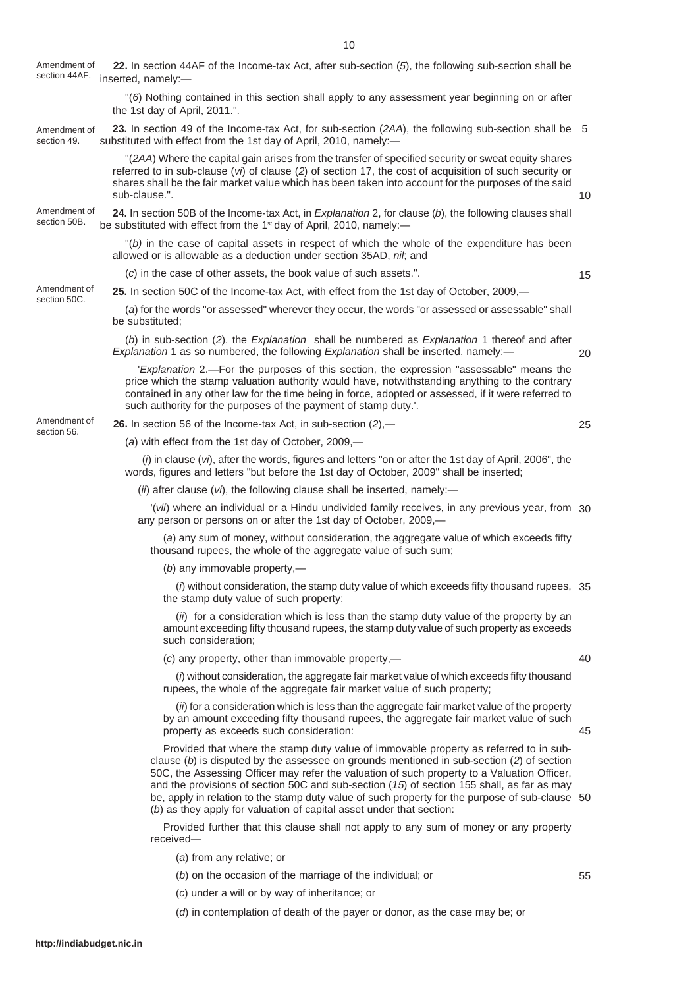"(*6*) Nothing contained in this section shall apply to any assessment year beginning on or after

**22.** In section 44AF of the Income-tax Act, after sub-section (*5*), the following sub-section shall be

| Amendment of<br>section 49.  | 23. In section 49 of the Income-tax Act, for sub-section (2AA), the following sub-section shall be 5<br>substituted with effect from the 1st day of April, 2010, namely:—                                                                                                                                                                  |    |
|------------------------------|--------------------------------------------------------------------------------------------------------------------------------------------------------------------------------------------------------------------------------------------------------------------------------------------------------------------------------------------|----|
|                              | "(2AA) Where the capital gain arises from the transfer of specified security or sweat equity shares<br>referred to in sub-clause $(v_i)$ of clause (2) of section 17, the cost of acquisition of such security or<br>shares shall be the fair market value which has been taken into account for the purposes of the said<br>sub-clause.". | 10 |
| Amendment of<br>section 50B. | 24. In section 50B of the Income-tax Act, in Explanation 2, for clause (b), the following clauses shall<br>be substituted with effect from the $1st$ day of April, 2010, namely:—                                                                                                                                                          |    |
|                              | "(b) in the case of capital assets in respect of which the whole of the expenditure has been<br>allowed or is allowable as a deduction under section 35AD, nil; and                                                                                                                                                                        |    |

(*c*) in the case of other assets, the book value of such assets.".

15

**25.** In section 50C of the Income-tax Act, with effect from the 1st day of October, 2009,— Amendment of

> (*a*) for the words "or assessed" wherever they occur, the words "or assessed or assessable" shall be substituted;

> (*b*) in sub-section (*2*), the *Explanation* shall be numbered as *Explanation* 1 thereof and after *Explanation* 1 as so numbered, the following *Explanation* shall be inserted, namely:—

 $20$ 

25

'*Explanation* 2.—For the purposes of this section, the expression "assessable" means the price which the stamp valuation authority would have, notwithstanding anything to the contrary contained in any other law for the time being in force, adopted or assessed, if it were referred to such authority for the purposes of the payment of stamp duty.'.

## **26.** In section 56 of the Income-tax Act, in sub-section (*2*),— Amendment of section 56.

section 44AF. inserted, namely:—

Amendment of

section 50C.

the 1st day of April, 2011.".

(*a*) with effect from the 1st day of October, 2009,—

(*i*) in clause (*vi*), after the words, figures and letters "on or after the 1st day of April, 2006", the words, figures and letters "but before the 1st day of October, 2009" shall be inserted;

(*ii*) after clause (*vi*), the following clause shall be inserted, namely:—

'(*vii*) where an individual or a Hindu undivided family receives, in any previous year, from 30 any person or persons on or after the 1st day of October, 2009,-

(*a*) any sum of money, without consideration, the aggregate value of which exceeds fifty thousand rupees, the whole of the aggregate value of such sum;

(*b*) any immovable property,—

(*i*) without consideration, the stamp duty value of which exceeds fifty thousand rupees, 35 the stamp duty value of such property;

(*ii*) for a consideration which is less than the stamp duty value of the property by an amount exceeding fifty thousand rupees, the stamp duty value of such property as exceeds such consideration;

(*c*) any property, other than immovable property,—

40

45

55

(*i*) without consideration, the aggregate fair market value of which exceeds fifty thousand rupees, the whole of the aggregate fair market value of such property;

(*ii*) for a consideration which is less than the aggregate fair market value of the property by an amount exceeding fifty thousand rupees, the aggregate fair market value of such property as exceeds such consideration:

Provided that where the stamp duty value of immovable property as referred to in subclause (*b*) is disputed by the assessee on grounds mentioned in sub-section (*2*) of section 50C, the Assessing Officer may refer the valuation of such property to a Valuation Officer, and the provisions of section 50C and sub-section (*15*) of section 155 shall, as far as may be, apply in relation to the stamp duty value of such property for the purpose of sub-clause 50 (*b*) as they apply for valuation of capital asset under that section:

Provided further that this clause shall not apply to any sum of money or any property received—

(*a*) from any relative; or

(*b*) on the occasion of the marriage of the individual; or

(*c*) under a will or by way of inheritance; or

(*d*) in contemplation of death of the payer or donor, as the case may be; or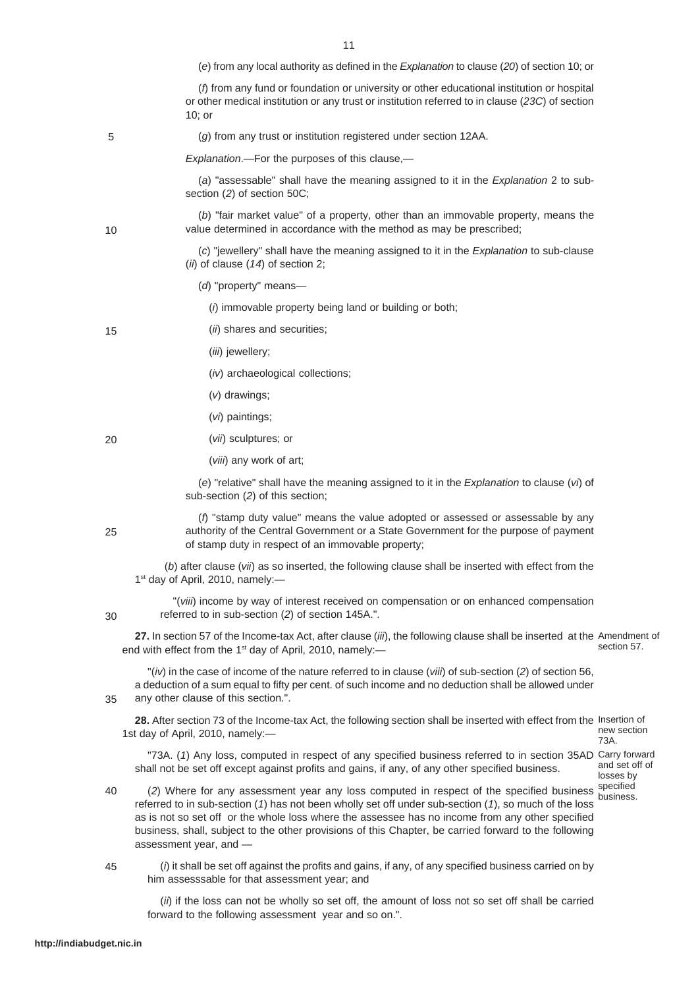11

(*e*) from any local authority as defined in the *Explanation* to clause (*20*) of section 10; or

(*f*) from any fund or foundation or university or other educational institution or hospital or other medical institution or any trust or institution referred to in clause (*23C*) of section  $10<sup>°</sup>$  or

(*g*) from any trust or institution registered under section 12AA.

*Explanation*.—For the purposes of this clause,—

(*a*) "assessable" shall have the meaning assigned to it in the *Explanation* 2 to subsection (*2*) of section 50C;

(*b*) "fair market value" of a property, other than an immovable property, means the value determined in accordance with the method as may be prescribed;

(*c*) "jewellery" shall have the meaning assigned to it in the *Explanation* to sub-clause (*ii*) of clause (*14*) of section 2;

(*d*) "property" means—

(*i*) immovable property being land or building or both;

(*ii*) shares and securities; 15

5

10

20

25

30

35

(*iii*) jewellery;

(*iv*) archaeological collections;

- (*v*) drawings;
- (*vi*) paintings;

(*vii*) sculptures; or

(*viii*) any work of art;

(*e*) "relative" shall have the meaning assigned to it in the *Explanation* to clause (*vi*) of sub-section (*2*) of this section;

(*f*) "stamp duty value" means the value adopted or assessed or assessable by any authority of the Central Government or a State Government for the purpose of payment of stamp duty in respect of an immovable property;

(*b*) after clause (*vii*) as so inserted, the following clause shall be inserted with effect from the 1<sup>st</sup> day of April, 2010, namely:-

"(*viii*) income by way of interest received on compensation or on enhanced compensation referred to in sub-section (*2*) of section 145A.".

**27.** In section 57 of the Income-tax Act, after clause (*iii*), the following clause shall be inserted at the Amendment of end with effect from the 1<sup>st</sup> day of April, 2010, namely:section 57.

"(*iv*) in the case of income of the nature referred to in clause (*viii*) of sub-section (*2*) of section 56, a deduction of a sum equal to fifty per cent. of such income and no deduction shall be allowed under any other clause of this section.".

28. After section 73 of the Income-tax Act, the following section shall be inserted with effect from the Insertion of 1st day of April, 2010, namely: new section 73A.

"73A. (*1*) Any loss, computed in respect of any specified business referred to in section 35AD Carry forward shall not be set off except against profits and gains, if any, of any other specified business. and set off of losses by

(2) Where for any assessment year any loss computed in respect of the specified business specified referred to in sub-section (*1*) has not been wholly set off under sub-section (*1*), so much of the loss as is not so set off or the whole loss where the assessee has no income from any other specified business, shall, subject to the other provisions of this Chapter, be carried forward to the following assessment year, and business. 40

(*i*) it shall be set off against the profits and gains, if any, of any specified business carried on by him assesssable for that assessment year; and 45

(*ii*) if the loss can not be wholly so set off, the amount of loss not so set off shall be carried forward to the following assessment year and so on.".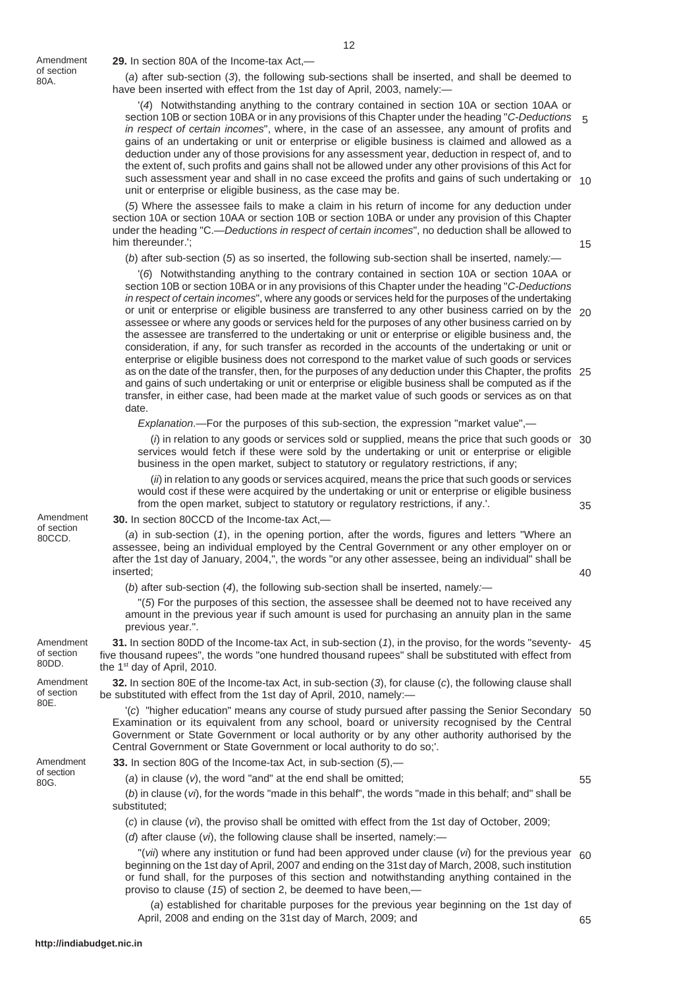Amendment of section 80A.

**29.** In section 80A of the Income-tax Act,—

(*a*) after sub-section (*3*), the following sub-sections shall be inserted, and shall be deemed to have been inserted with effect from the 1st day of April, 2003, namely:-

'(*4*) Notwithstanding anything to the contrary contained in section 10A or section 10AA or section 10B or section 10BA or in any provisions of this Chapter under the heading "*C-Deductions in respect of certain incomes*", where, in the case of an assessee, any amount of profits and gains of an undertaking or unit or enterprise or eligible business is claimed and allowed as a deduction under any of those provisions for any assessment year, deduction in respect of, and to the extent of, such profits and gains shall not be allowed under any other provisions of this Act for such assessment year and shall in no case exceed the profits and gains of such undertaking or 10 unit or enterprise or eligible business, as the case may be. 5

(*5*) Where the assessee fails to make a claim in his return of income for any deduction under section 10A or section 10AA or section 10B or section 10BA or under any provision of this Chapter under the heading "C.—*Deductions in respect of certain incomes*", no deduction shall be allowed to him thereunder.';

(*b*) after sub-section (*5*) as so inserted, the following sub-section shall be inserted, namely*:—*

'(*6*) Notwithstanding anything to the contrary contained in section 10A or section 10AA or section 10B or section 10BA or in any provisions of this Chapter under the heading "*C-Deductions in respect of certain incomes*", where any goods or services held for the purposes of the undertaking or unit or enterprise or eligible business are transferred to any other business carried on by the 20 assessee or where any goods or services held for the purposes of any other business carried on by the assessee are transferred to the undertaking or unit or enterprise or eligible business and, the consideration, if any, for such transfer as recorded in the accounts of the undertaking or unit or enterprise or eligible business does not correspond to the market value of such goods or services as on the date of the transfer, then, for the purposes of any deduction under this Chapter, the profits 25 and gains of such undertaking or unit or enterprise or eligible business shall be computed as if the transfer, in either case, had been made at the market value of such goods or services as on that date.

*Explanation*.—For the purposes of this sub-section, the expression "market value",—

(*i*) in relation to any goods or services sold or supplied, means the price that such goods or 30 services would fetch if these were sold by the undertaking or unit or enterprise or eligible business in the open market, subject to statutory or regulatory restrictions, if any;

(*ii*) in relation to any goods or services acquired, means the price that such goods or services would cost if these were acquired by the undertaking or unit or enterprise or eligible business from the open market, subject to statutory or regulatory restrictions, if any.'.

35

40

15

Amendment of section 80CCD.

**30.** In section 80CCD of the Income-tax Act,—

(*a*) in sub-section (*1*), in the opening portion, after the words, figures and letters "Where an assessee, being an individual employed by the Central Government or any other employer on or after the 1st day of January, 2004,", the words "or any other assessee, being an individual" shall be inserted;

(*b*) after sub-section (*4*), the following sub-section shall be inserted, namely*:—*

"(*5*) For the purposes of this section, the assessee shall be deemed not to have received any amount in the previous year if such amount is used for purchasing an annuity plan in the same previous year.".

**31.** In section 80DD of the Income-tax Act, in sub-section (*1*), in the proviso, for the words "seventy-45 five thousand rupees", the words "one hundred thousand rupees" shall be substituted with effect from the 1st day of April, 2010. Amendment of section 80DD.

**32.** In section 80E of the Income-tax Act, in sub-section (*3*), for clause (*c*), the following clause shall be substituted with effect from the 1st day of April, 2010, namely:— Amendment of section

> '(*c*) "higher education" means any course of study pursued after passing the Senior Secondary 50 Examination or its equivalent from any school, board or university recognised by the Central Government or State Government or local authority or by any other authority authorised by the Central Government or State Government or local authority to do so;'.

Amendment of section 80G.

80E.

**33.** In section 80G of the Income-tax Act, in sub-section (*5*),— (*a*) in clause (*v*), the word "and" at the end shall be omitted;

55

(*b*) in clause (*vi*), for the words "made in this behalf", the words "made in this behalf; and" shall be substituted;

(*c*) in clause (*vi*), the proviso shall be omitted with effect from the 1st day of October, 2009;

(*d*) after clause (*vi*), the following clause shall be inserted, namely:—

"(*vii*) where any institution or fund had been approved under clause (*vi*) for the previous year 60 beginning on the 1st day of April, 2007 and ending on the 31st day of March, 2008, such institution or fund shall, for the purposes of this section and notwithstanding anything contained in the proviso to clause (*15*) of section 2, be deemed to have been,—

(*a*) established for charitable purposes for the previous year beginning on the 1st day of April, 2008 and ending on the 31st day of March, 2009; and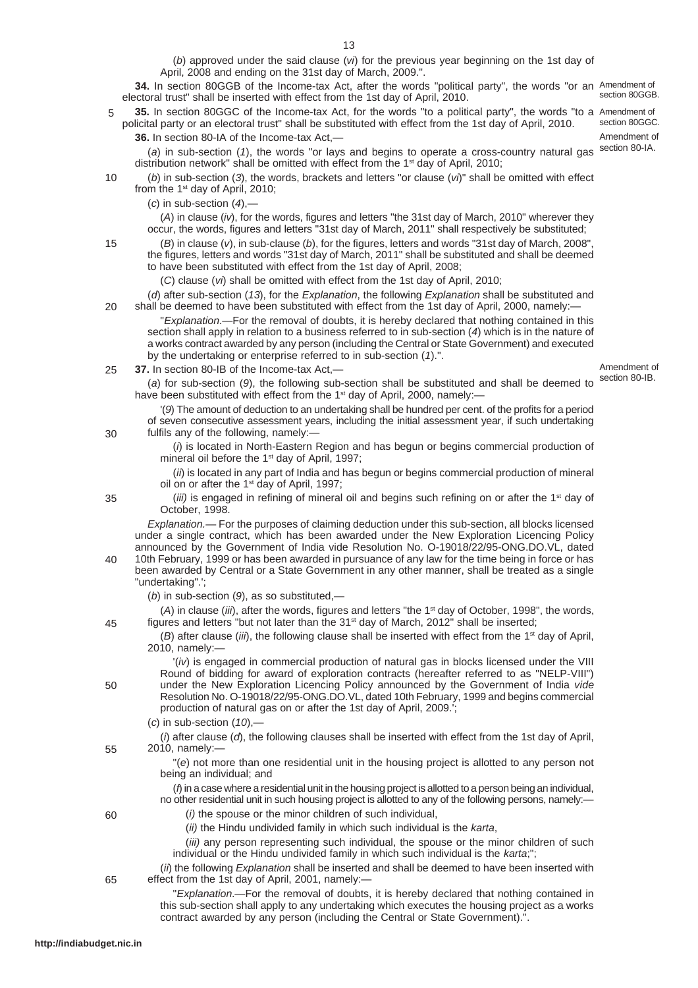(*b*) approved under the said clause (*vi*) for the previous year beginning on the 1st day of April, 2008 and ending on the 31st day of March, 2009.".

**34.** In section 80GGB of the Income-tax Act, after the words "political party", the words "or an Amendment of electoral trust" shall be inserted with effect from the 1st day of April, 2010. section 80GGB.

**35.** In section 80GGC of the Income-tax Act, for the words "to a political party", the words "to a Amendment of policital party or an electoral trust" shall be substituted with effect from the 1st day of April, 2010. **36.** In section 80-IA of the Income-tax Act,— 5

section 80GGC. Amendment of section 80-IA.

(*a*) in sub-section (*1*), the words "or lays and begins to operate a cross-country natural gas distribution network" shall be omitted with effect from the 1<sup>st</sup> day of April, 2010;

(*b*) in sub-section (*3*), the words, brackets and letters "or clause (*vi*)" shall be omitted with effect from the 1<sup>st</sup> day of April, 2010; 10

(*c*) in sub-section (*4*),—

15

20

30

35

45

50

60

(*A*) in clause (*iv*), for the words, figures and letters "the 31st day of March, 2010" wherever they occur, the words, figures and letters "31st day of March, 2011" shall respectively be substituted;

 $(B)$  in clause  $(v)$ , in sub-clause  $(b)$ , for the figures, letters and words "31st day of March, 2008" the figures, letters and words "31st day of March, 2011" shall be substituted and shall be deemed to have been substituted with effect from the 1st day of April, 2008;

(*C*) clause (*vi*) shall be omitted with effect from the 1st day of April, 2010;

(*d*) after sub-section (*13*), for the *Explanation*, the following *Explanation* shall be substituted and shall be deemed to have been substituted with effect from the 1st day of April, 2000, namely:—

"*Explanation*.—For the removal of doubts, it is hereby declared that nothing contained in this section shall apply in relation to a business referred to in sub-section (*4*) which is in the nature of a works contract awarded by any person (including the Central or State Government) and executed by the undertaking or enterprise referred to in sub-section (*1*).".

**37.** In section 80-IB of the Income-tax Act,— 25

Amendment of section 80-IB.

(*a*) for sub-section (*9*), the following sub-section shall be substituted and shall be deemed to have been substituted with effect from the 1<sup>st</sup> day of April, 2000, namely:-

'(*9*) The amount of deduction to an undertaking shall be hundred per cent. of the profits for a period of seven consecutive assessment years, including the initial assessment year, if such undertaking fulfils any of the following, namely:-

(*i*) is located in North-Eastern Region and has begun or begins commercial production of mineral oil before the 1<sup>st</sup> day of April, 1997;

(*ii*) is located in any part of India and has begun or begins commercial production of mineral oil on or after the 1<sup>st</sup> day of April, 1997;

(*iii*) is engaged in refining of mineral oil and begins such refining on or after the 1<sup>st</sup> day of October, 1998.

*Explanation.*— For the purposes of claiming deduction under this sub-section, all blocks licensed under a single contract, which has been awarded under the New Exploration Licencing Policy announced by the Government of India vide Resolution No. O-19018/22/95-ONG.DO.VL, dated

- 10th February, 1999 or has been awarded in pursuance of any law for the time being in force or has been awarded by Central or a State Government in any other manner, shall be treated as a single "undertaking".'; 40
	- (*b*) in sub-section (*9*), as so substituted,—

(*A*) in clause (*iii*), after the words, figures and letters "the 1st day of October, 1998", the words, figures and letters "but not later than the 31<sup>st</sup> day of March, 2012" shall be inserted;

(*B*) after clause (*iii*), the following clause shall be inserted with effect from the 1<sup>st</sup> day of April, 2010, namely:—

'(*iv*) is engaged in commercial production of natural gas in blocks licensed under the VIII Round of bidding for award of exploration contracts (hereafter referred to as "NELP-VIII") under the New Exploration Licencing Policy announced by the Government of India *vide* Resolution No. O-19018/22/95-ONG.DO.VL, dated 10th February, 1999 and begins commercial production of natural gas on or after the 1st day of April, 2009.';

- (*c*) in sub-section (*10*),—
- (*i*) after clause (*d*), the following clauses shall be inserted with effect from the 1st day of April, 2010, namely:— 55

"(*e*) not more than one residential unit in the housing project is allotted to any person not being an individual; and

(*f*) in a case where a residential unit in the housing project is allotted to a person being an individual, no other residential unit in such housing project is allotted to any of the following persons, namely:

- (*i)* the spouse or the minor children of such individual,
- (*ii)* the Hindu undivided family in which such individual is the *karta*,

(*iii)* any person representing such individual, the spouse or the minor children of such individual or the Hindu undivided family in which such individual is the *karta*;";

(*ii*) the following *Explanation* shall be inserted and shall be deemed to have been inserted with effect from the 1st day of April, 2001, namely:— 65

"*Explanation*.—For the removal of doubts, it is hereby declared that nothing contained in this sub-section shall apply to any undertaking which executes the housing project as a works contract awarded by any person (including the Central or State Government).".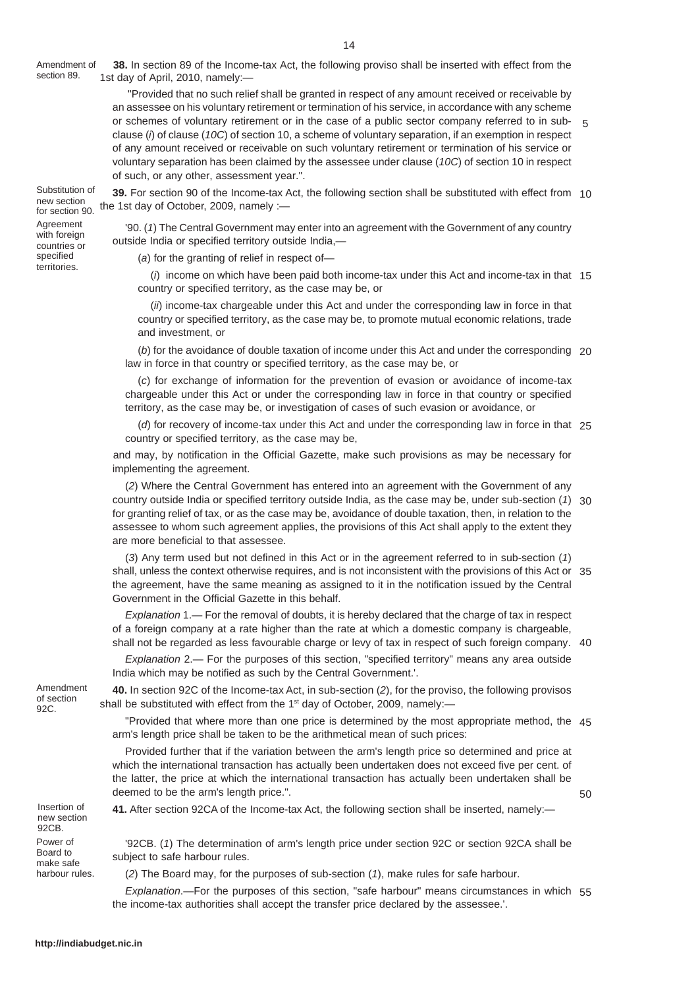**38.** In section 89 of the Income-tax Act, the following proviso shall be inserted with effect from the 1st day of April, 2010, namely:-Amendment of section 89.

> "Provided that no such relief shall be granted in respect of any amount received or receivable by an assessee on his voluntary retirement or termination of his service, in accordance with any scheme or schemes of voluntary retirement or in the case of a public sector company referred to in sub-5 clause (*i*) of clause (*10C*) of section 10, a scheme of voluntary separation, if an exemption in respect of any amount received or receivable on such voluntary retirement or termination of his service or voluntary separation has been claimed by the assessee under clause (*10C*) of section 10 in respect of such, or any other, assessment year.".

Substitution of new section **Agreement** with foreign countries or specified territories.

**39.** For section 90 of the Income-tax Act, the following section shall be substituted with effect from 10 The Section 90. the 1st day of October, 2009, namely :—

> '90. (*1*) The Central Government may enter into an agreement with the Government of any country outside India or specified territory outside India,—

(*a*) for the granting of relief in respect of—

(*i*) income on which have been paid both income-tax under this Act and income-tax in that 15 country or specified territory, as the case may be, or

(*ii*) income-tax chargeable under this Act and under the corresponding law in force in that country or specified territory, as the case may be, to promote mutual economic relations, trade and investment, or

(*b*) for the avoidance of double taxation of income under this Act and under the corresponding 20 law in force in that country or specified territory, as the case may be, or

(*c*) for exchange of information for the prevention of evasion or avoidance of income-tax chargeable under this Act or under the corresponding law in force in that country or specified territory, as the case may be, or investigation of cases of such evasion or avoidance, or

(*d*) for recovery of income-tax under this Act and under the corresponding law in force in that 25 country or specified territory, as the case may be,

and may, by notification in the Official Gazette, make such provisions as may be necessary for implementing the agreement.

(*2*) Where the Central Government has entered into an agreement with the Government of any country outside India or specified territory outside India, as the case may be, under sub-section (*1*) 30 for granting relief of tax, or as the case may be, avoidance of double taxation, then, in relation to the assessee to whom such agreement applies, the provisions of this Act shall apply to the extent they are more beneficial to that assessee.

(*3*) Any term used but not defined in this Act or in the agreement referred to in sub-section (*1*) shall, unless the context otherwise requires, and is not inconsistent with the provisions of this Act or 35 the agreement, have the same meaning as assigned to it in the notification issued by the Central Government in the Official Gazette in this behalf.

*Explanation* 1.— For the removal of doubts, it is hereby declared that the charge of tax in respect of a foreign company at a rate higher than the rate at which a domestic company is chargeable, shall not be regarded as less favourable charge or levy of tax in respect of such foreign company. 40

*Explanation* 2.— For the purposes of this section, "specified territory" means any area outside India which may be notified as such by the Central Government.'.

Amendment of section 92C.

**40.** In section 92C of the Income-tax Act, in sub-section (*2*), for the proviso, the following provisos shall be substituted with effect from the 1<sup>st</sup> day of October, 2009, namely:-

"Provided that where more than one price is determined by the most appropriate method, the 45 arm's length price shall be taken to be the arithmetical mean of such prices:

Provided further that if the variation between the arm's length price so determined and price at which the international transaction has actually been undertaken does not exceed five per cent. of the latter, the price at which the international transaction has actually been undertaken shall be deemed to be the arm's length price.".

50

Insertion of new section 92CB. Power of Board to make safe harbour rules.

'92CB. (*1*) The determination of arm's length price under section 92C or section 92CA shall be subject to safe harbour rules.

**41.** After section 92CA of the Income-tax Act, the following section shall be inserted, namely:—

(*2*) The Board may, for the purposes of sub-section (*1*), make rules for safe harbour.

*Explanation*.—For the purposes of this section, "safe harbour" means circumstances in which 55the income-tax authorities shall accept the transfer price declared by the assessee.'.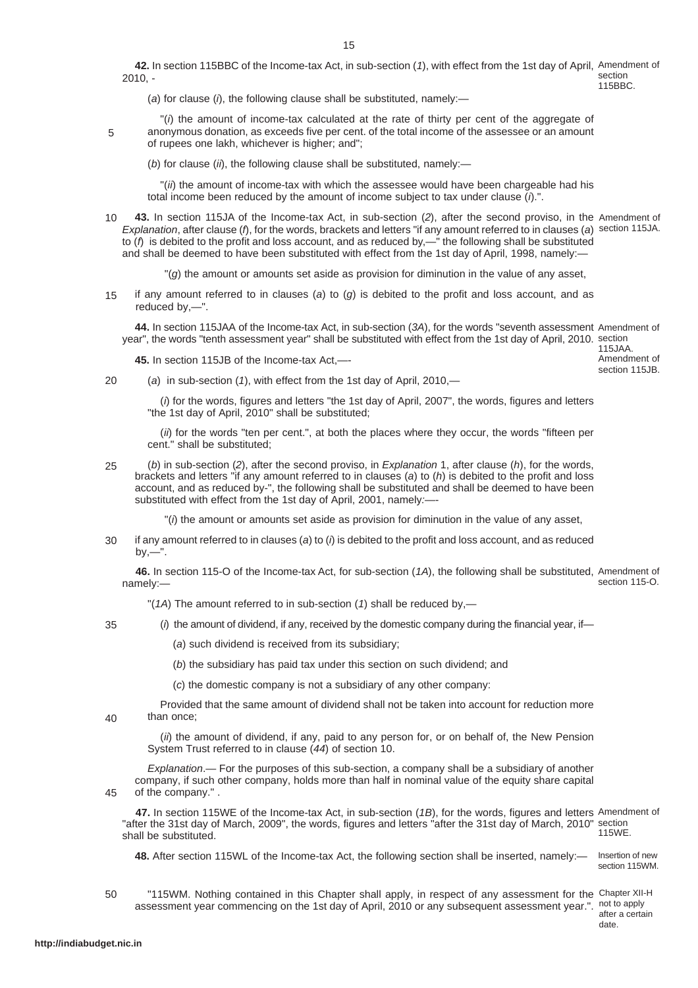**42.** In section 115BBC of the Income-tax Act, in sub-section (*1*), with effect from the 1st day of April, Amendment of 2010, section 115BBC.

(*a*) for clause (*i*), the following clause shall be substituted, namely:—

"(*i*) the amount of income-tax calculated at the rate of thirty per cent of the aggregate of anonymous donation, as exceeds five per cent. of the total income of the assessee or an amount of rupees one lakh, whichever is higher; and";

(*b*) for clause (*ii*), the following clause shall be substituted, namely:—

"(*ii*) the amount of income-tax with which the assessee would have been chargeable had his total income been reduced by the amount of income subject to tax under clause (*i*).".

**43.** In section 115JA of the Income-tax Act, in sub-section (*2*), after the second proviso, in the Amendment of *Explanation*, after clause (*f*), for the words, brackets and letters "if any amount referred to in clauses (*a*) section 115JA. to (*f*) is debited to the profit and loss account, and as reduced by,—" the following shall be substituted and shall be deemed to have been substituted with effect from the 1st day of April, 1998, namely:— 10

"(*g*) the amount or amounts set aside as provision for diminution in the value of any asset,

if any amount referred to in clauses (*a*) to (*g*) is debited to the profit and loss account, and as reduced by —" 15

**44.** In section 115JAA of the Income-tax Act, in sub-section (*3A*), for the words "seventh assessment Amendment of year", the words "tenth assessment year" shall be substituted with effect from the 1st day of April, 2010. section

**45.** In section 115JB of the Income-tax Act,—-

5

115JAA. Amendment of section 115JB.

(*a*) in sub-section (*1*), with effect from the 1st day of April, 2010,— 20

> (*i*) for the words, figures and letters "the 1st day of April, 2007", the words, figures and letters "the 1st day of April, 2010" shall be substituted;

> (*ii*) for the words "ten per cent.", at both the places where they occur, the words "fifteen per cent." shall be substituted;

(*b*) in sub-section (*2*), after the second proviso, in *Explanation* 1, after clause (*h*), for the words, brackets and letters "if any amount referred to in clauses (*a*) to (*h*) is debited to the profit and loss account, and as reduced by-", the following shall be substituted and shall be deemed to have been substituted with effect from the 1st day of April, 2001, namely*:—*- 25

"(*i*) the amount or amounts set aside as provision for diminution in the value of any asset,

if any amount referred to in clauses (*a*) to (*i*) is debited to the profit and loss account, and as reduced  $by,$ 30

46. In section 115-O of the Income-tax Act, for sub-section (1A), the following shall be substituted, Amendment of section 115-O. namely:—

- "(*1A*) The amount referred to in sub-section (*1*) shall be reduced by,—
- (*i*) the amount of dividend, if any, received by the domestic company during the financial year, if— 35
	- (*a*) such dividend is received from its subsidiary;
	- (*b*) the subsidiary has paid tax under this section on such dividend; and

(*c*) the domestic company is not a subsidiary of any other company:

Provided that the same amount of dividend shall not be taken into account for reduction more than once; 40

(*ii*) the amount of dividend, if any, paid to any person for, or on behalf of, the New Pension System Trust referred to in clause (*44*) of section 10.

*Explanation*.— For the purposes of this sub-section, a company shall be a subsidiary of another company, if such other company, holds more than half in nominal value of the equity share capital of the company." .

**47.** In section 115WE of the Income-tax Act, in sub-section (*1B*), for the words, figures and letters Amendment of "after the 31st day of March, 2009", the words, figures and letters "after the 31st day of March, 2010" section shall be substituted. 115WE.

**48.** After section 115WL of the Income-tax Act, the following section shall be inserted, namely:— Insertion of new section 115WM.

"115WM. Nothing contained in this Chapter shall apply, in respect of any assessment for the Chapter XII-H assessment year commencing on the 1st day of April, 2010 or any subsequent assessment year.". not to apply after a certain date. 50

45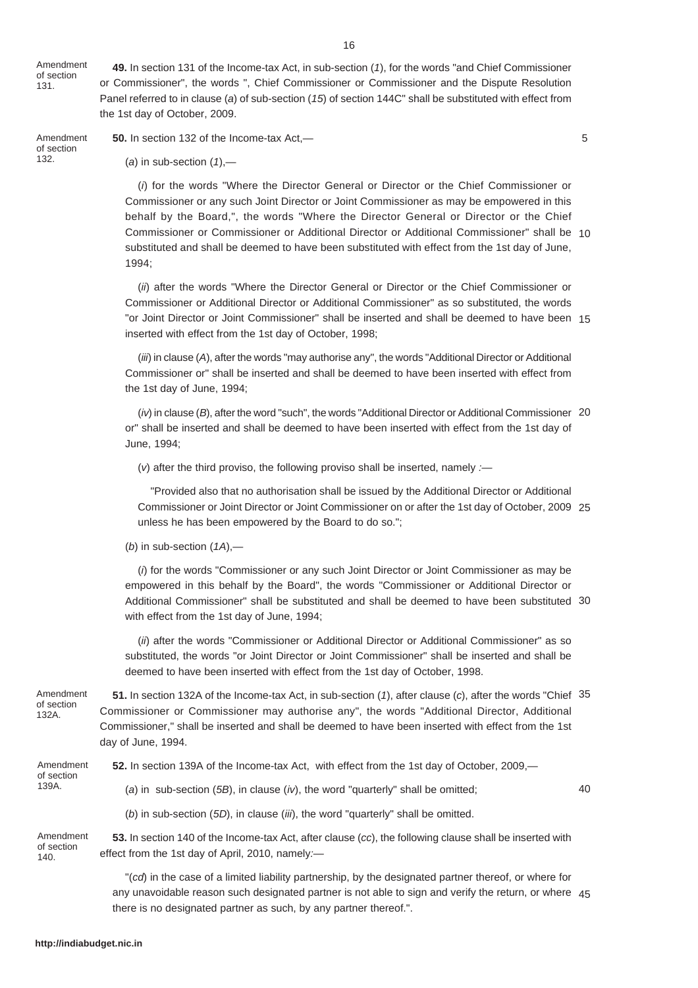16

Amendment of section 131.

**49.** In section 131 of the Income-tax Act, in sub-section (*1*), for the words "and Chief Commissioner or Commissioner", the words ", Chief Commissioner or Commissioner and the Dispute Resolution Panel referred to in clause (*a*) of sub-section (*15*) of section 144C" shall be substituted with effect from the 1st day of October, 2009.

Amendment of section 132.

**50.** In section 132 of the Income-tax Act,—

5

(*a*) in sub-section (*1*),—

(*i*) for the words "Where the Director General or Director or the Chief Commissioner or Commissioner or any such Joint Director or Joint Commissioner as may be empowered in this behalf by the Board,", the words "Where the Director General or Director or the Chief Commissioner or Commissioner or Additional Director or Additional Commissioner" shall be 10 substituted and shall be deemed to have been substituted with effect from the 1st day of June, 1994;

(*ii*) after the words "Where the Director General or Director or the Chief Commissioner or Commissioner or Additional Director or Additional Commissioner" as so substituted, the words "or Joint Director or Joint Commissioner" shall be inserted and shall be deemed to have been 15 inserted with effect from the 1st day of October, 1998;

(*iii*) in clause (*A*), after the words "may authorise any", the words "Additional Director or Additional Commissioner or" shall be inserted and shall be deemed to have been inserted with effect from the 1st day of June, 1994;

(*iv*) in clause (*B*), after the word "such", the words "Additional Director or Additional Commissioner 20 or" shall be inserted and shall be deemed to have been inserted with effect from the 1st day of June, 1994;

(*v*) after the third proviso, the following proviso shall be inserted, namely *:—*

"Provided also that no authorisation shall be issued by the Additional Director or Additional Commissioner or Joint Director or Joint Commissioner on or after the 1st day of October, 2009 25 unless he has been empowered by the Board to do so.";

(*b*) in sub-section (*1A*),—

(*i*) for the words "Commissioner or any such Joint Director or Joint Commissioner as may be empowered in this behalf by the Board", the words "Commissioner or Additional Director or Additional Commissioner" shall be substituted and shall be deemed to have been substituted 30 with effect from the 1st day of June, 1994;

(*ii*) after the words "Commissioner or Additional Director or Additional Commissioner" as so substituted, the words "or Joint Director or Joint Commissioner" shall be inserted and shall be deemed to have been inserted with effect from the 1st day of October, 1998.

Amendment of section 132A.

**51.** In section 132A of the Income-tax Act, in sub-section (*1*), after clause (*c*), after the words "Chief 35 Commissioner or Commissioner may authorise any", the words "Additional Director, Additional Commissioner," shall be inserted and shall be deemed to have been inserted with effect from the 1st day of June, 1994.

| Amendment<br>of section         | 52. In section 139A of the Income-tax Act, with effect from the 1st day of October, 2009,—                                                                   |    |  |
|---------------------------------|--------------------------------------------------------------------------------------------------------------------------------------------------------------|----|--|
| 139A.                           | (a) in sub-section (5B), in clause $(iv)$ , the word "quarterly" shall be omitted;                                                                           | 40 |  |
|                                 | (b) in sub-section $(5D)$ , in clause $(iii)$ , the word "quarterly" shall be omitted.                                                                       |    |  |
| Amendment<br>of section<br>140. | 53. In section 140 of the Income-tax Act, after clause (cc), the following clause shall be inserted with<br>effect from the 1st day of April, 2010, namely:- |    |  |

"(*cd*) in the case of a limited liability partnership, by the designated partner thereof, or where for any unavoidable reason such designated partner is not able to sign and verify the return, or where 45there is no designated partner as such, by any partner thereof.".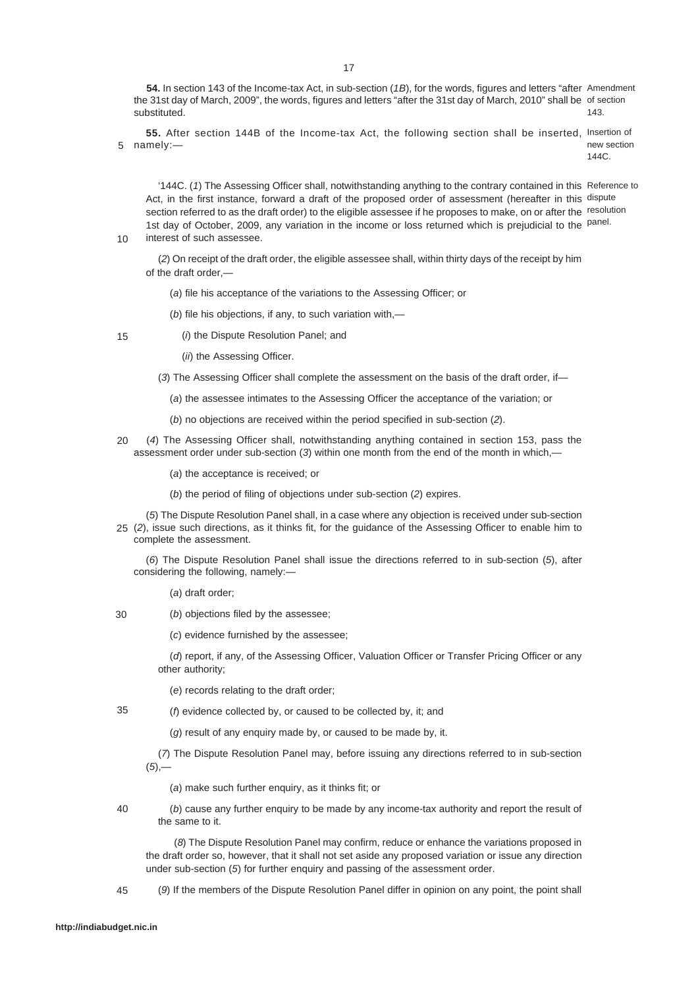**54.** In section 143 of the Income-tax Act, in sub-section (*1B*), for the words, figures and letters "after Amendment the 31st day of March, 2009", the words, figures and letters "after the 31st day of March, 2010" shall be of section substituted. 143.

**55.** After section 144B of the Income-tax Act, the following section shall be inserted, Insertion of 5 namely: new section

144C.

'144C. (*1*) The Assessing Officer shall, notwithstanding anything to the contrary contained in this Reference to Act, in the first instance, forward a draft of the proposed order of assessment (hereafter in this dispute section referred to as the draft order) to the eligible assessee if he proposes to make, on or after the <sup>resolution</sup> 1st day of October, 2009, any variation in the income or loss returned which is prejudicial to the <sup>panel.</sup> interest of such assessee.

10

15

(*2*) On receipt of the draft order, the eligible assessee shall, within thirty days of the receipt by him of the draft order,—

(*a*) file his acceptance of the variations to the Assessing Officer; or

(*b*) file his objections, if any, to such variation with,—

(*i*) the Dispute Resolution Panel; and

(*ii*) the Assessing Officer.

(*3*) The Assessing Officer shall complete the assessment on the basis of the draft order, if—

(*a*) the assessee intimates to the Assessing Officer the acceptance of the variation; or

(*b*) no objections are received within the period specified in sub-section (*2*).

(*4*) The Assessing Officer shall, notwithstanding anything contained in section 153, pass the assessment order under sub-section (*3*) within one month from the end of the month in which,— 20

(*a*) the acceptance is received; or

(*b*) the period of filing of objections under sub-section (*2*) expires.

(*5*) The Dispute Resolution Panel shall, in a case where any objection is received under sub-section (*2*), issue such directions, as it thinks fit, for the guidance of the Assessing Officer to enable him to 25 complete the assessment.

(*6*) The Dispute Resolution Panel shall issue the directions referred to in sub-section (*5*), after considering the following, namely:—

(*a*) draft order;

(*b*) objections filed by the assessee; 30

(*c*) evidence furnished by the assessee;

(*d*) report, if any, of the Assessing Officer, Valuation Officer or Transfer Pricing Officer or any other authority;

(*e*) records relating to the draft order;

(*f*) evidence collected by, or caused to be collected by, it; and 35

(*g*) result of any enquiry made by, or caused to be made by, it.

(*7*) The Dispute Resolution Panel may, before issuing any directions referred to in sub-section  $(5, -$ 

(*a*) make such further enquiry, as it thinks fit; or

- 40
- (*b*) cause any further enquiry to be made by any income-tax authority and report the result of the same to it.

(*8*) The Dispute Resolution Panel may confirm, reduce or enhance the variations proposed in the draft order so, however, that it shall not set aside any proposed variation or issue any direction under sub-section (*5*) for further enquiry and passing of the assessment order.

45

(*9*) If the members of the Dispute Resolution Panel differ in opinion on any point, the point shall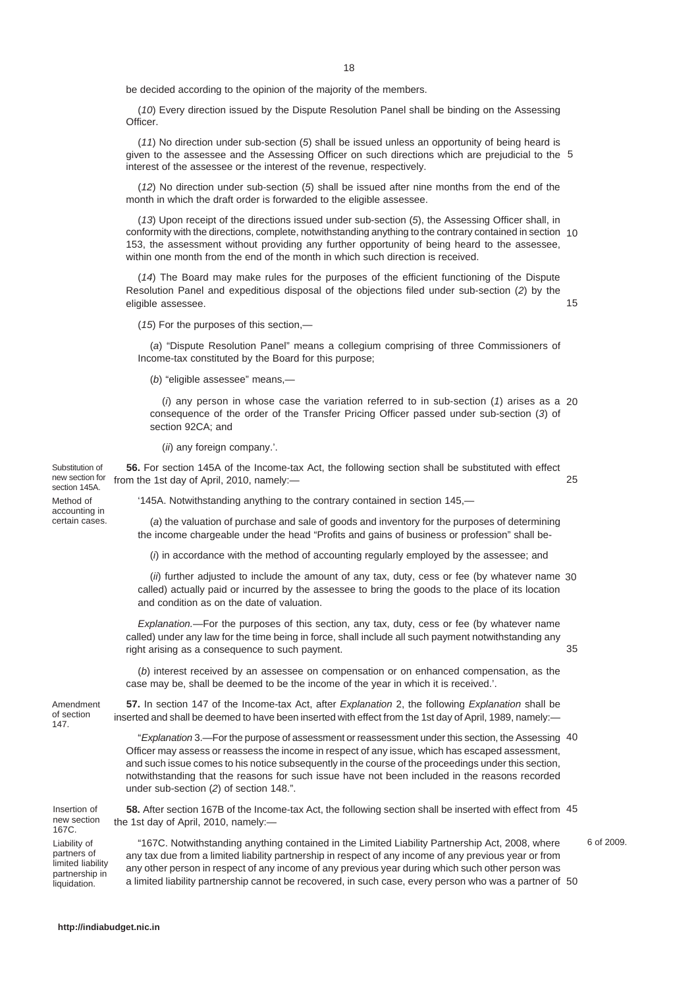be decided according to the opinion of the majority of the members.

(*10*) Every direction issued by the Dispute Resolution Panel shall be binding on the Assessing Officer.

(*11*) No direction under sub-section (*5*) shall be issued unless an opportunity of being heard is given to the assessee and the Assessing Officer on such directions which are prejudicial to the 5 interest of the assessee or the interest of the revenue, respectively.

(*12*) No direction under sub-section (*5*) shall be issued after nine months from the end of the month in which the draft order is forwarded to the eligible assessee.

(*13*) Upon receipt of the directions issued under sub-section (*5*), the Assessing Officer shall, in conformity with the directions, complete, notwithstanding anything to the contrary contained in section 10 153, the assessment without providing any further opportunity of being heard to the assessee, within one month from the end of the month in which such direction is received.

(*14*) The Board may make rules for the purposes of the efficient functioning of the Dispute Resolution Panel and expeditious disposal of the objections filed under sub-section (*2*) by the eligible assessee.

15

(*15*) For the purposes of this section,—

(*a*) "Dispute Resolution Panel" means a collegium comprising of three Commissioners of Income-tax constituted by the Board for this purpose;

(*b*) "eligible assessee" means,—

(*i*) any person in whose case the variation referred to in sub-section (*1*) arises as a 20 consequence of the order of the Transfer Pricing Officer passed under sub-section (*3*) of section 92CA; and

(*ii*) any foreign company.'.

**56.** For section 145A of the Income-tax Act, the following section shall be substituted with effect new section for from the 1st day of April, 2010, namely:— Substitution of  $25$ 

section 145A. Method of accounting in certain cases.

'145A. Notwithstanding anything to the contrary contained in section 145,—

(*a*) the valuation of purchase and sale of goods and inventory for the purposes of determining the income chargeable under the head "Profits and gains of business or profession" shall be-

(*i*) in accordance with the method of accounting regularly employed by the assessee; and

(*ii*) further adjusted to include the amount of any tax, duty, cess or fee (by whatever name 30 called) actually paid or incurred by the assessee to bring the goods to the place of its location and condition as on the date of valuation.

*Explanation.*—For the purposes of this section, any tax, duty, cess or fee (by whatever name called) under any law for the time being in force, shall include all such payment notwithstanding any right arising as a consequence to such payment.

(*b*) interest received by an assessee on compensation or on enhanced compensation, as the case may be, shall be deemed to be the income of the year in which it is received.'.

Amendment of section 147.

**57.** In section 147 of the Income-tax Act, after *Explanation* 2, the following *Explanation* shall be inserted and shall be deemed to have been inserted with effect from the 1st day of April, 1989, namely:—

"*Explanation* 3.—For the purpose of assessment or reassessment under this section, the Assessing 40 Officer may assess or reassess the income in respect of any issue, which has escaped assessment, and such issue comes to his notice subsequently in the course of the proceedings under this section, notwithstanding that the reasons for such issue have not been included in the reasons recorded under sub-section (*2*) of section 148.".

**58.** After section 167B of the Income-tax Act, the following section shall be inserted with effect from 45 the 1st day of April, 2010, namely:— Insertion of new section

167C. Liability of partners of limited liability partnership in liquidation.

"167C. Notwithstanding anything contained in the Limited Liability Partnership Act, 2008, where any tax due from a limited liability partnership in respect of any income of any previous year or from any other person in respect of any income of any previous year during which such other person was a limited liability partnership cannot be recovered, in such case, every person who was a partner of 50

6 of 2009.

35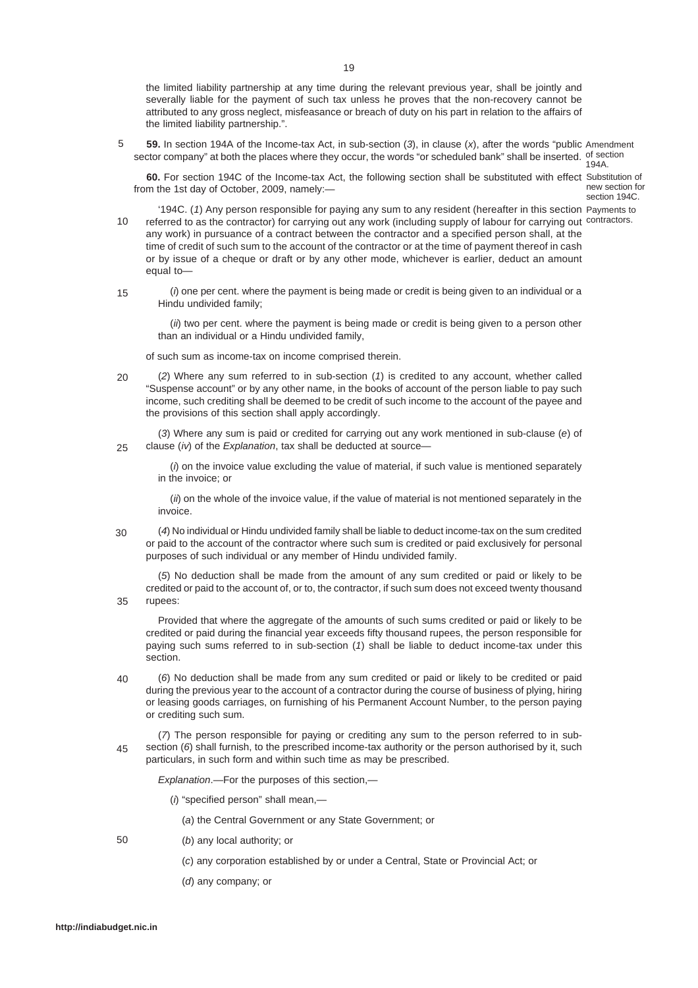the limited liability partnership at any time during the relevant previous year, shall be jointly and severally liable for the payment of such tax unless he proves that the non-recovery cannot be attributed to any gross neglect, misfeasance or breach of duty on his part in relation to the affairs of the limited liability partnership.".

**59.** In section 194A of the Income-tax Act, in sub-section (*3*), in clause (*x*), after the words "public Amendment sector company" at both the places where they occur, the words "or scheduled bank" shall be inserted. Of section 194A. 5

**60.** For section 194C of the Income-tax Act, the following section shall be substituted with effect Substitution of from the 1st day of October, 2009, namely:—

new section for section 194C.

'194C. (*1*) Any person responsible for paying any sum to any resident (hereafter in this section Payments to referred to as the contractor) for carrying out any work (including supply of labour for carrying out contractors. any work) in pursuance of a contract between the contractor and a specified person shall, at the time of credit of such sum to the account of the contractor or at the time of payment thereof in cash or by issue of a cheque or draft or by any other mode, whichever is earlier, deduct an amount equal to— 10

(*i*) one per cent. where the payment is being made or credit is being given to an individual or a Hindu undivided family; 15

(*ii*) two per cent. where the payment is being made or credit is being given to a person other than an individual or a Hindu undivided family,

of such sum as income-tax on income comprised therein.

(*2*) Where any sum referred to in sub-section (*1*) is credited to any account, whether called "Suspense account" or by any other name, in the books of account of the person liable to pay such income, such crediting shall be deemed to be credit of such income to the account of the payee and the provisions of this section shall apply accordingly.  $20$ 

(*3*) Where any sum is paid or credited for carrying out any work mentioned in sub-clause (*e*) of clause (*iv*) of the *Explanation*, tax shall be deducted at source— 25

(*i*) on the invoice value excluding the value of material, if such value is mentioned separately in the invoice; or

(*ii*) on the whole of the invoice value, if the value of material is not mentioned separately in the invoice.

(*4*) No individual or Hindu undivided family shall be liable to deduct income-tax on the sum credited or paid to the account of the contractor where such sum is credited or paid exclusively for personal purposes of such individual or any member of Hindu undivided family. 30

(*5*) No deduction shall be made from the amount of any sum credited or paid or likely to be credited or paid to the account of, or to, the contractor, if such sum does not exceed twenty thousand rupees:

35

Provided that where the aggregate of the amounts of such sums credited or paid or likely to be credited or paid during the financial year exceeds fifty thousand rupees, the person responsible for paying such sums referred to in sub-section (*1*) shall be liable to deduct income-tax under this section.

(*6*) No deduction shall be made from any sum credited or paid or likely to be credited or paid during the previous year to the account of a contractor during the course of business of plying, hiring or leasing goods carriages, on furnishing of his Permanent Account Number, to the person paying or crediting such sum.  $\overline{40}$ 

(*7*) The person responsible for paying or crediting any sum to the person referred to in subsection (6) shall furnish, to the prescribed income-tax authority or the person authorised by it, such particulars, in such form and within such time as may be prescribed. 45

*Explanation*.—For the purposes of this section,—

(*i*) "specified person" shall mean,—

(*a*) the Central Government or any State Government; or

(*b*) any local authority; or

(*c*) any corporation established by or under a Central, State or Provincial Act; or

(*d*) any company; or

50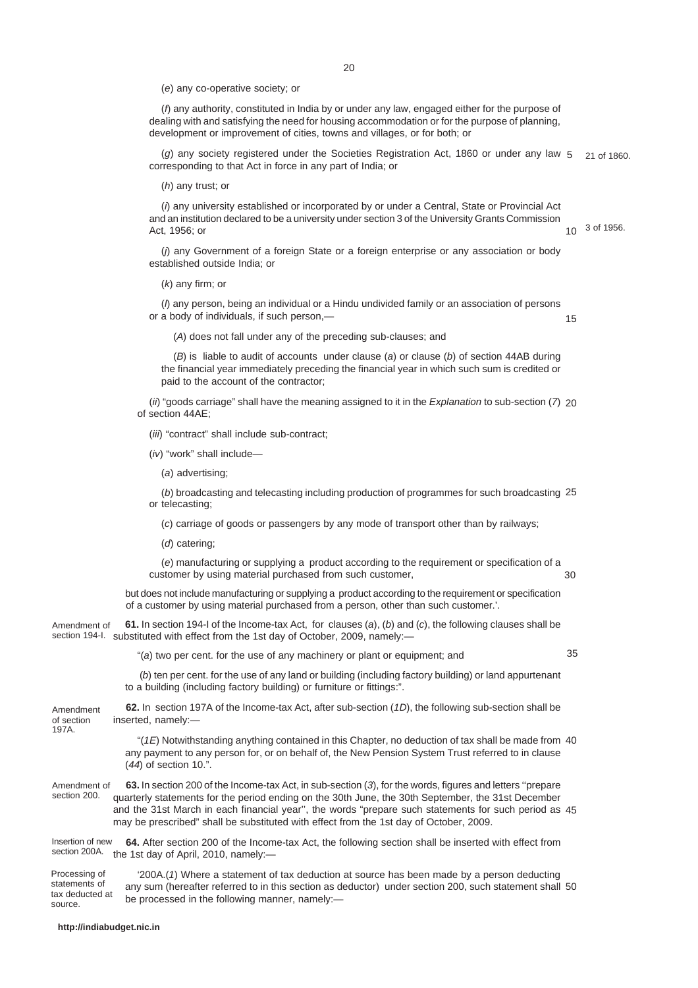(*e*) any co-operative society; or

(*f*) any authority, constituted in India by or under any law, engaged either for the purpose of dealing with and satisfying the need for housing accommodation or for the purpose of planning, development or improvement of cities, towns and villages, or for both; or

(*g*) any society registered under the Societies Registration Act, 1860 or under any law 5 corresponding to that Act in force in any part of India; or 21 of 1860.

(*h*) any trust; or

(*i*) any university established or incorporated by or under a Central, State or Provincial Act and an institution declared to be a university under section 3 of the University Grants Commission Act, 1956; or

(*j*) any Government of a foreign State or a foreign enterprise or any association or body established outside India; or

(*k*) any firm; or

(*l*) any person, being an individual or a Hindu undivided family or an association of persons or a body of individuals, if such person,—

15

3 of 1956. 10

(*A*) does not fall under any of the preceding sub-clauses; and

(*B*) is liable to audit of accounts under clause (*a*) or clause (*b*) of section 44AB during the financial year immediately preceding the financial year in which such sum is credited or paid to the account of the contractor;

(*ii*) "goods carriage" shall have the meaning assigned to it in the *Explanation* to sub-section (*7*) 20 of section 44AE;

(*iii*) "contract" shall include sub-contract;

(*iv*) "work" shall include—

(*a*) advertising;

(*b*) broadcasting and telecasting including production of programmes for such broadcasting 25 or telecasting;

(*c*) carriage of goods or passengers by any mode of transport other than by railways;

(*d*) catering;

(*e*) manufacturing or supplying a product according to the requirement or specification of a customer by using material purchased from such customer,  $30$ 

but does not include manufacturing or supplying a product according to the requirement or specification of a customer by using material purchased from a person, other than such customer.'.

**61.** In section 194-I of the Income-tax Act, for clauses (*a*), (*b*) and (*c*), the following clauses shall be section 194-I. substituted with effect from the 1st day of October, 2009, namely:-Amendment of

"(*a*) two per cent. for the use of any machinery or plant or equipment; and

35

 (*b*) ten per cent. for the use of any land or building (including factory building) or land appurtenant to a building (including factory building) or furniture or fittings:".

**62.** In section 197A of the Income-tax Act, after sub-section (*1D*), the following sub-section shall be inserted, namely:— Amendment of section 197A.

> "(*1E*) Notwithstanding anything contained in this Chapter, no deduction of tax shall be made from 40 any payment to any person for, or on behalf of, the New Pension System Trust referred to in clause (*44*) of section 10.".

**63.** In section 200 of the Income-tax Act, in sub-section (*3*), for the words, figures and letters ''prepare quarterly statements for the period ending on the 30th June, the 30th September, the 31st December and the 31st March in each financial year'', the words "prepare such statements for such period as 45 may be prescribed" shall be substituted with effect from the 1st day of October, 2009. Amendment of section 200.

**64.** After section 200 of the Income-tax Act, the following section shall be inserted with effect from section 200A. the 1st day of April, 2010, namely:-Insertion of new

'200A.(*1*) Where a statement of tax deduction at source has been made by a person deducting any sum (hereafter referred to in this section as deductor) under section 200, such statement shall 50be processed in the following manner, namely:— Processing of statements of tax deducted at source.

**http://indiabudget.nic.in**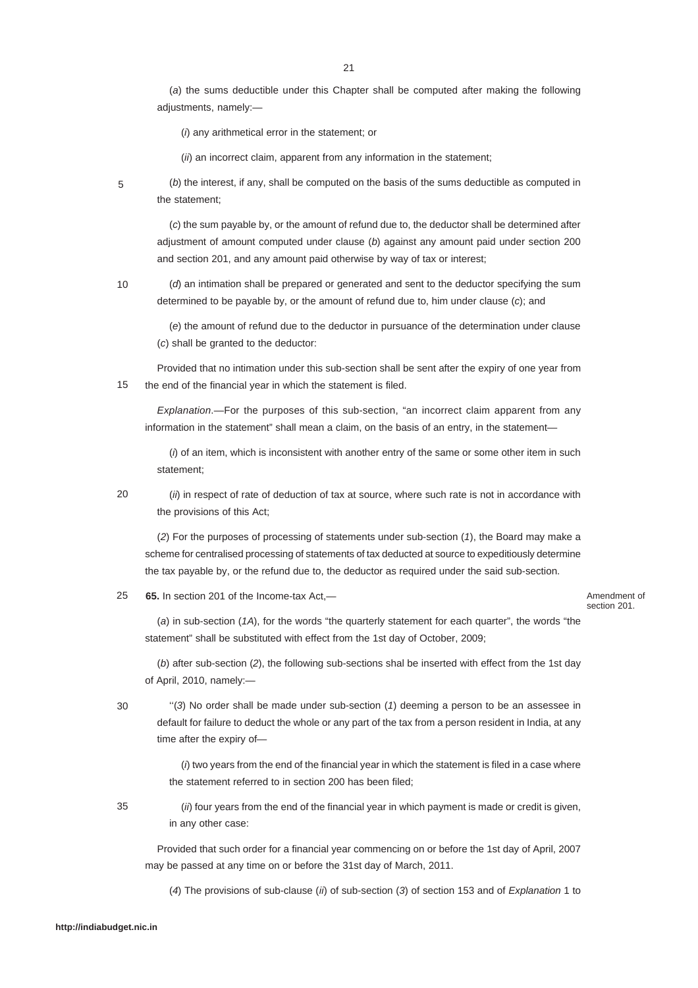(*a*) the sums deductible under this Chapter shall be computed after making the following adjustments, namely:—

(*i*) any arithmetical error in the statement; or

(*ii*) an incorrect claim, apparent from any information in the statement;

5

10

(*b*) the interest, if any, shall be computed on the basis of the sums deductible as computed in the statement;

(*c*) the sum payable by, or the amount of refund due to, the deductor shall be determined after adjustment of amount computed under clause (*b*) against any amount paid under section 200 and section 201, and any amount paid otherwise by way of tax or interest;

(*d*) an intimation shall be prepared or generated and sent to the deductor specifying the sum determined to be payable by, or the amount of refund due to, him under clause (*c*); and

(*e*) the amount of refund due to the deductor in pursuance of the determination under clause (*c*) shall be granted to the deductor:

Provided that no intimation under this sub-section shall be sent after the expiry of one year from the end of the financial year in which the statement is filed. 15

*Explanation*.—For the purposes of this sub-section, "an incorrect claim apparent from any information in the statement" shall mean a claim, on the basis of an entry, in the statement—

(*i*) of an item, which is inconsistent with another entry of the same or some other item in such statement;

20

(*ii*) in respect of rate of deduction of tax at source, where such rate is not in accordance with the provisions of this Act;

(*2*) For the purposes of processing of statements under sub-section (*1*), the Board may make a scheme for centralised processing of statements of tax deducted at source to expeditiously determine the tax payable by, or the refund due to, the deductor as required under the said sub-section.

**65.** In section 201 of the Income-tax Act,— 25

Amendment of section 201.

(*a*) in sub-section (*1A*), for the words "the quarterly statement for each quarter", the words "the statement" shall be substituted with effect from the 1st day of October, 2009;

(*b*) after sub-section (*2*), the following sub-sections shal be inserted with effect from the 1st day of April, 2010, namely:—

30

''(*3*) No order shall be made under sub-section (*1*) deeming a person to be an assessee in default for failure to deduct the whole or any part of the tax from a person resident in India, at any time after the expiry of—

(*i*) two years from the end of the financial year in which the statement is filed in a case where the statement referred to in section 200 has been filed;

35

(*ii*) four years from the end of the financial year in which payment is made or credit is given, in any other case:

Provided that such order for a financial year commencing on or before the 1st day of April, 2007 may be passed at any time on or before the 31st day of March, 2011.

(*4*) The provisions of sub-clause (*ii*) of sub-section (*3*) of section 153 and of *Explanation* 1 to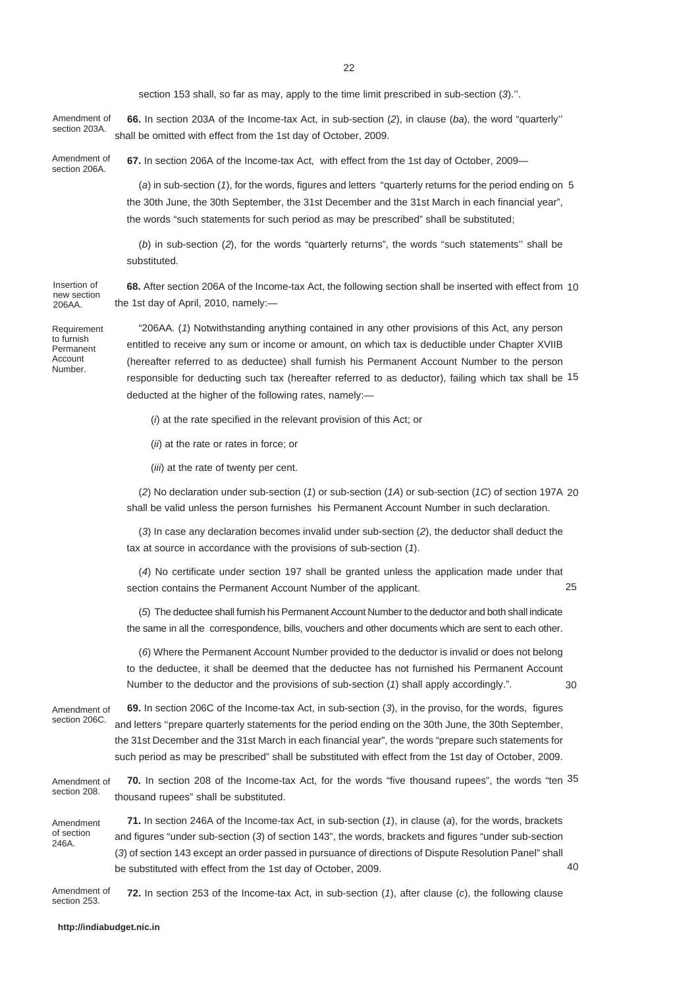section 153 shall, so far as may, apply to the time limit prescribed in sub-section (*3*).''.

**66.** In section 203A of the Income-tax Act, in sub-section (*2*), in clause (*ba*), the word "quarterly'' shall be omitted with effect from the 1st day of October, 2009. Amendment of section 203A.

**67.** In section 206A of the Income-tax Act, with effect from the 1st day of October, 2009— Amendment of section 206A.

> (*a*) in sub-section (*1*), for the words, figures and letters "quarterly returns for the period ending on 5 the 30th June, the 30th September, the 31st December and the 31st March in each financial year", the words "such statements for such period as may be prescribed" shall be substituted;

(*b*) in sub-section (*2*), for the words "quarterly returns", the words "such statements'' shall be substituted.

Insertion of new section 206AA.

**68.** After section 206A of the Income-tax Act, the following section shall be inserted with effect from 10 the 1st day of April, 2010, namely:—

Requirement to furnish Permanent Account Number.

"206AA. (*1*) Notwithstanding anything contained in any other provisions of this Act, any person entitled to receive any sum or income or amount, on which tax is deductible under Chapter XVIIB (hereafter referred to as deductee) shall furnish his Permanent Account Number to the person responsible for deducting such tax (hereafter referred to as deductor), failing which tax shall be 15 deducted at the higher of the following rates, namely:—

(*i*) at the rate specified in the relevant provision of this Act; or

(*ii*) at the rate or rates in force; or

(*iii*) at the rate of twenty per cent.

(*2*) No declaration under sub-section (*1*) or sub-section (*1A*) or sub-section (*1C*) of section 197A 20 shall be valid unless the person furnishes his Permanent Account Number in such declaration.

(*3*) In case any declaration becomes invalid under sub-section (*2*), the deductor shall deduct the tax at source in accordance with the provisions of sub-section (*1*).

(*4*) No certificate under section 197 shall be granted unless the application made under that section contains the Permanent Account Number of the applicant. 25

(*5*) The deductee shall furnish his Permanent Account Number to the deductor and both shall indicate the same in all the correspondence, bills, vouchers and other documents which are sent to each other.

(*6*) Where the Permanent Account Number provided to the deductor is invalid or does not belong to the deductee, it shall be deemed that the deductee has not furnished his Permanent Account Number to the deductor and the provisions of sub-section (*1*) shall apply accordingly.". 30

**69.** In section 206C of the Income-tax Act, in sub-section (*3*), in the proviso, for the words, figures and letters ''prepare quarterly statements for the period ending on the 30th June, the 30th September, the 31st December and the 31st March in each financial year", the words "prepare such statements for such period as may be prescribed" shall be substituted with effect from the 1st day of October, 2009. Amendment of section 206C.

**70.** In section 208 of the Income-tax Act, for the words "five thousand rupees", the words "ten 35 thousand rupees" shall be substituted. Amendment of section 208.

Amendment of section 246A.

**71.** In section 246A of the Income-tax Act, in sub-section (*1*), in clause (*a*), for the words, brackets and figures "under sub-section (*3*) of section 143", the words, brackets and figures "under sub-section (*3*) of section 143 except an order passed in pursuance of directions of Dispute Resolution Panel" shall be substituted with effect from the 1st day of October, 2009. 40

**72.** In section 253 of the Income-tax Act, in sub-section (*1*), after clause (*c*), the following clause Amendment of section 253.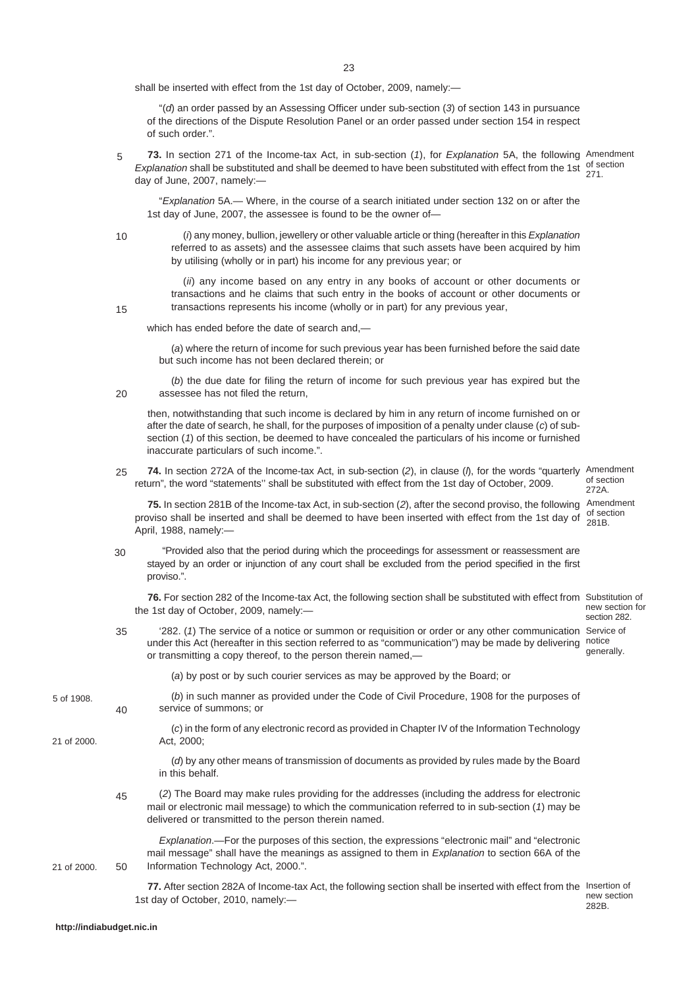shall be inserted with effect from the 1st day of October, 2009, namely:—

"(*d*) an order passed by an Assessing Officer under sub-section (*3*) of section 143 in pursuance of the directions of the Dispute Resolution Panel or an order passed under section 154 in respect of such order.".

**73.** In section 271 of the Income-tax Act, in sub-section (*1*), for *Explanation* 5A, the following Amendment Explanation shall be substituted and shall be deemed to have been substituted with effect from the 1st of section day of June, 2007, namely:— 271. 5

"*Explanation* 5A.— Where, in the course of a search initiated under section 132 on or after the 1st day of June, 2007, the assessee is found to be the owner of—

(*i*) any money, bullion, jewellery or other valuable article or thing (hereafter in this *Explanation* referred to as assets) and the assessee claims that such assets have been acquired by him by utilising (wholly or in part) his income for any previous year; or

(*ii*) any income based on any entry in any books of account or other documents or transactions and he claims that such entry in the books of account or other documents or transactions represents his income (wholly or in part) for any previous year,

15

10

which has ended before the date of search and,—

(*a*) where the return of income for such previous year has been furnished before the said date but such income has not been declared therein; or

(*b*) the due date for filing the return of income for such previous year has expired but the assessee has not filed the return,  $20$ 

then, notwithstanding that such income is declared by him in any return of income furnished on or after the date of search, he shall, for the purposes of imposition of a penalty under clause (*c*) of subsection (*1*) of this section, be deemed to have concealed the particulars of his income or furnished inaccurate particulars of such income.".

**74.** In section 272A of the Income-tax Act, in sub-section (*2*), in clause (*l*), for the words "quarterly Amendment return", the word "statements'' shall be substituted with effect from the 1st day of October, 2009. of section 272A. 25

of section 281B.

- **75.** In section 281B of the Income-tax Act, in sub-section (*2*), after the second proviso, the following Amendment proviso shall be inserted and shall be deemed to have been inserted with effect from the 1st day of April, 1988, namely:—
- "Provided also that the period during which the proceedings for assessment or reassessment are stayed by an order or injunction of any court shall be excluded from the period specified in the first proviso.". 30

**76.** For section 282 of the Income-tax Act, the following section shall be substituted with effect from Substitution of the 1st day of October, 2009, namely: new section for section 282.

'282. (*1*) The service of a notice or summon or requisition or order or any other communication Service of under this Act (hereafter in this section referred to as "communication") may be made by delivering notice or transmitting a copy thereof, to the person therein named, generally. 35

(*a*) by post or by such courier services as may be approved by the Board; or

- (*b*) in such manner as provided under the Code of Civil Procedure, 1908 for the purposes of service of summons; or 5 of 1908. 40
	- (*c*) in the form of any electronic record as provided in Chapter IV of the Information Technology Act, 2000;

(*d*) by any other means of transmission of documents as provided by rules made by the Board in this behalf.

(*2*) The Board may make rules providing for the addresses (including the address for electronic mail or electronic mail message) to which the communication referred to in sub-section (*1*) may be delivered or transmitted to the person therein named. 45

*Explanation*.—For the purposes of this section, the expressions "electronic mail" and "electronic mail message" shall have the meanings as assigned to them in *Explanation* to section 66A of the Information Technology Act, 2000.". 21 of 2000. 50

> 77. After section 282A of Income-tax Act, the following section shall be inserted with effect from the Insertion of 1st day of October, 2010, namely: new section 282B.

21 of 2000.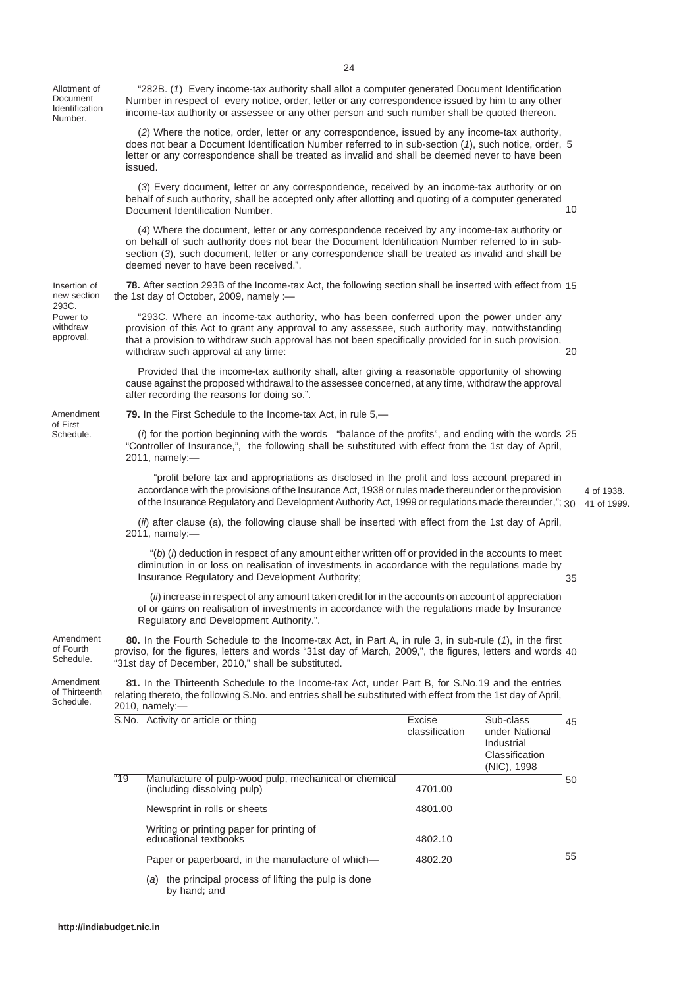Allotment of Document Identification Number.

293C. Power to withdraw approval.

Amendment of First Schedule.

"282B. (*1*) Every income-tax authority shall allot a computer generated Document Identification Number in respect of every notice, order, letter or any correspondence issued by him to any other income-tax authority or assessee or any other person and such number shall be quoted thereon.

(*2*) Where the notice, order, letter or any correspondence, issued by any income-tax authority, does not bear a Document Identification Number referred to in sub-section (*1*), such notice, order, 5 letter or any correspondence shall be treated as invalid and shall be deemed never to have been issued.

(*3*) Every document, letter or any correspondence, received by an income-tax authority or on behalf of such authority, shall be accepted only after allotting and quoting of a computer generated Document Identification Number.

(*4*) Where the document, letter or any correspondence received by any income-tax authority or on behalf of such authority does not bear the Document Identification Number referred to in subsection (*3*), such document, letter or any correspondence shall be treated as invalid and shall be deemed never to have been received.".

**78.** After section 293B of the Income-tax Act, the following section shall be inserted with effect from 15 the 1st day of October, 2009, namely :— Insertion of new section

> "293C. Where an income-tax authority, who has been conferred upon the power under any provision of this Act to grant any approval to any assessee, such authority may, notwithstanding that a provision to withdraw such approval has not been specifically provided for in such provision, withdraw such approval at any time: 20

Provided that the income-tax authority shall, after giving a reasonable opportunity of showing cause against the proposed withdrawal to the assessee concerned, at any time, withdraw the approval after recording the reasons for doing so.".

**79.** In the First Schedule to the Income-tax Act, in rule 5,—

(*i*) for the portion beginning with the words "balance of the profits", and ending with the words 25 "Controller of Insurance,", the following shall be substituted with effect from the 1st day of April, 2011, namely:—

 "profit before tax and appropriations as disclosed in the profit and loss account prepared in accordance with the provisions of the Insurance Act, 1938 or rules made thereunder or the provision of the Insurance Regulatory and Development Authority Act, 1999 or regulations made thereunder,"; 30 41 of 1999.

(*ii*) after clause (*a*), the following clause shall be inserted with effect from the 1st day of April, 2011, namely:—

"(*b*) (*i*) deduction in respect of any amount either written off or provided in the accounts to meet diminution in or loss on realisation of investments in accordance with the regulations made by Insurance Regulatory and Development Authority; 35

(*ii*) increase in respect of any amount taken credit for in the accounts on account of appreciation of or gains on realisation of investments in accordance with the regulations made by Insurance Regulatory and Development Authority.".

Amendment of Fourth Schedule.

**80.** In the Fourth Schedule to the Income-tax Act, in Part A, in rule 3, in sub-rule (*1*), in the first proviso, for the figures, letters and words "31st day of March, 2009,", the figures, letters and words 40 "31st day of December, 2010," shall be substituted.

**81.** In the Thirteenth Schedule to the Income-tax Act, under Part B, for S.No.19 and the entries relating thereto, the following S.No. and entries shall be substituted with effect from the 1st day of April, 2010, namely:— Amendment of Thirteenth Schedule.

|      | S.No. Activity or article or thing                                                   | <b>Excise</b><br>classification | Sub-class<br>under National<br>Industrial<br>Classification<br>(NIC), 1998 | 45 |
|------|--------------------------------------------------------------------------------------|---------------------------------|----------------------------------------------------------------------------|----|
| "19" | Manufacture of pulp-wood pulp, mechanical or chemical<br>(including dissolving pulp) | 4701.00                         |                                                                            | 50 |
|      | Newsprint in rolls or sheets                                                         | 4801.00                         |                                                                            |    |
|      | Writing or printing paper for printing of<br>educational textbooks                   | 4802.10                         |                                                                            |    |
|      | Paper or paperboard, in the manufacture of which-                                    | 4802.20                         |                                                                            | 55 |
|      | the principal process of lifting the pulp is done<br>(a)<br>by hand; and             |                                 |                                                                            |    |

4 of 1938.

 $1<sub>0</sub>$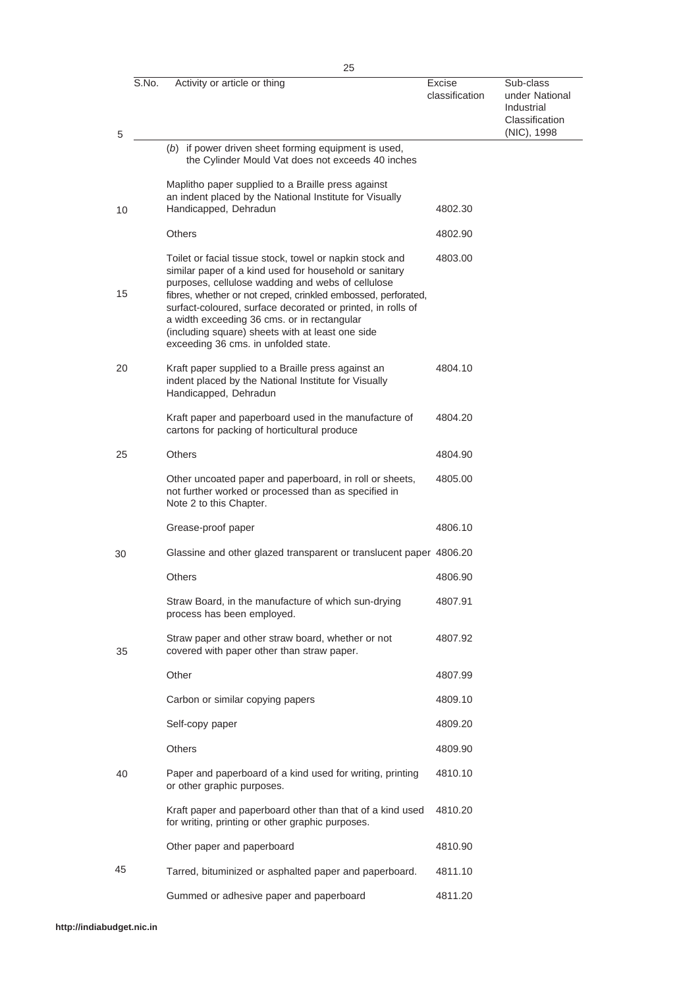| 5  | S.No. | Activity or article or thing                                                                                                                                                                                                                                                                                                                                                                                                                       | Excise<br>classification | Sub-class<br>under National<br>Industrial<br>Classification<br>(NIC), 1998 |
|----|-------|----------------------------------------------------------------------------------------------------------------------------------------------------------------------------------------------------------------------------------------------------------------------------------------------------------------------------------------------------------------------------------------------------------------------------------------------------|--------------------------|----------------------------------------------------------------------------|
|    |       | (b) if power driven sheet forming equipment is used,<br>the Cylinder Mould Vat does not exceeds 40 inches                                                                                                                                                                                                                                                                                                                                          |                          |                                                                            |
| 10 |       | Maplitho paper supplied to a Braille press against<br>an indent placed by the National Institute for Visually<br>Handicapped, Dehradun                                                                                                                                                                                                                                                                                                             | 4802.30                  |                                                                            |
|    |       | <b>Others</b>                                                                                                                                                                                                                                                                                                                                                                                                                                      | 4802.90                  |                                                                            |
| 15 |       | Toilet or facial tissue stock, towel or napkin stock and<br>similar paper of a kind used for household or sanitary<br>purposes, cellulose wadding and webs of cellulose<br>fibres, whether or not creped, crinkled embossed, perforated,<br>surfact-coloured, surface decorated or printed, in rolls of<br>a width exceeding 36 cms. or in rectangular<br>(including square) sheets with at least one side<br>exceeding 36 cms. in unfolded state. | 4803.00                  |                                                                            |
| 20 |       | Kraft paper supplied to a Braille press against an<br>indent placed by the National Institute for Visually<br>Handicapped, Dehradun                                                                                                                                                                                                                                                                                                                | 4804.10                  |                                                                            |
|    |       | Kraft paper and paperboard used in the manufacture of<br>cartons for packing of horticultural produce                                                                                                                                                                                                                                                                                                                                              | 4804.20                  |                                                                            |
| 25 |       | <b>Others</b>                                                                                                                                                                                                                                                                                                                                                                                                                                      | 4804.90                  |                                                                            |
|    |       | Other uncoated paper and paperboard, in roll or sheets,<br>not further worked or processed than as specified in<br>Note 2 to this Chapter.                                                                                                                                                                                                                                                                                                         | 4805.00                  |                                                                            |
|    |       | Grease-proof paper                                                                                                                                                                                                                                                                                                                                                                                                                                 | 4806.10                  |                                                                            |
| 30 |       | Glassine and other glazed transparent or translucent paper 4806.20                                                                                                                                                                                                                                                                                                                                                                                 |                          |                                                                            |
|    |       | Others                                                                                                                                                                                                                                                                                                                                                                                                                                             | 4806.90                  |                                                                            |
|    |       | Straw Board, in the manufacture of which sun-drying<br>process has been employed.                                                                                                                                                                                                                                                                                                                                                                  | 4807.91                  |                                                                            |
| 35 |       | Straw paper and other straw board, whether or not<br>covered with paper other than straw paper.                                                                                                                                                                                                                                                                                                                                                    | 4807.92                  |                                                                            |
|    |       | Other                                                                                                                                                                                                                                                                                                                                                                                                                                              | 4807.99                  |                                                                            |
|    |       | Carbon or similar copying papers                                                                                                                                                                                                                                                                                                                                                                                                                   | 4809.10                  |                                                                            |
|    |       | Self-copy paper                                                                                                                                                                                                                                                                                                                                                                                                                                    | 4809.20                  |                                                                            |
|    |       | <b>Others</b>                                                                                                                                                                                                                                                                                                                                                                                                                                      | 4809.90                  |                                                                            |
| 40 |       | Paper and paperboard of a kind used for writing, printing<br>or other graphic purposes.                                                                                                                                                                                                                                                                                                                                                            | 4810.10                  |                                                                            |
|    |       | Kraft paper and paperboard other than that of a kind used<br>for writing, printing or other graphic purposes.                                                                                                                                                                                                                                                                                                                                      | 4810.20                  |                                                                            |
|    |       | Other paper and paperboard                                                                                                                                                                                                                                                                                                                                                                                                                         | 4810.90                  |                                                                            |
| 45 |       | Tarred, bituminized or asphalted paper and paperboard.                                                                                                                                                                                                                                                                                                                                                                                             | 4811.10                  |                                                                            |
|    |       | Gummed or adhesive paper and paperboard                                                                                                                                                                                                                                                                                                                                                                                                            | 4811.20                  |                                                                            |